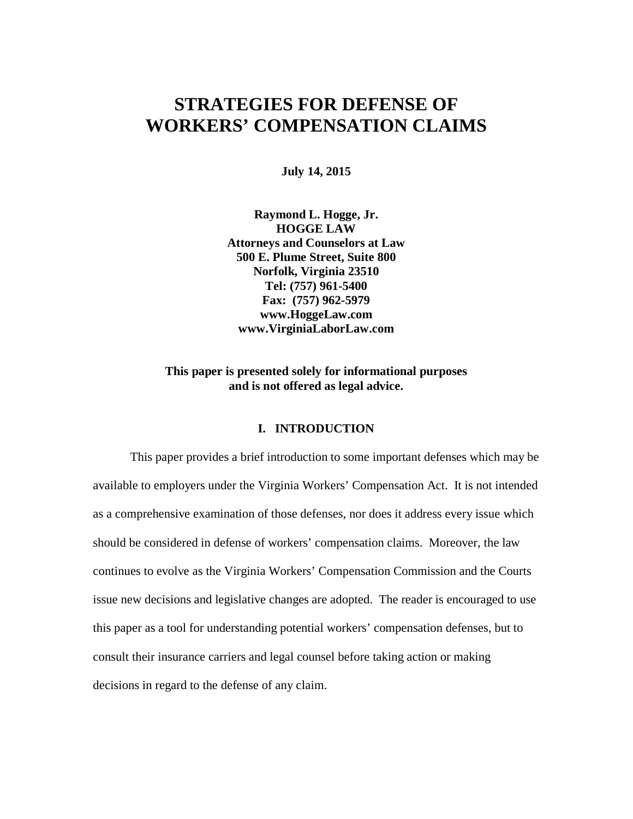# **STRATEGIES FOR DEFENSE OF WORKERS' COMPENSATION CLAIMS**

**July 14, 2015**

**Raymond L. Hogge, Jr. HOGGE LAW Attorneys and Counselors at Law 500 E. Plume Street, Suite 800 Norfolk, Virginia 23510 Tel: (757) 961-5400 Fax: (757) 962-5979 www.HoggeLaw.com www.VirginiaLaborLaw.com**

**This paper is presented solely for informational purposes and is not offered as legal advice.**

## **I. INTRODUCTION**

This paper provides a brief introduction to some important defenses which may be available to employers under the Virginia Workers' Compensation Act. It is not intended as a comprehensive examination of those defenses, nor does it address every issue which should be considered in defense of workers' compensation claims. Moreover, the law continues to evolve as the Virginia Workers' Compensation Commission and the Courts issue new decisions and legislative changes are adopted. The reader is encouraged to use this paper as a tool for understanding potential workers' compensation defenses, but to consult their insurance carriers and legal counsel before taking action or making decisions in regard to the defense of any claim.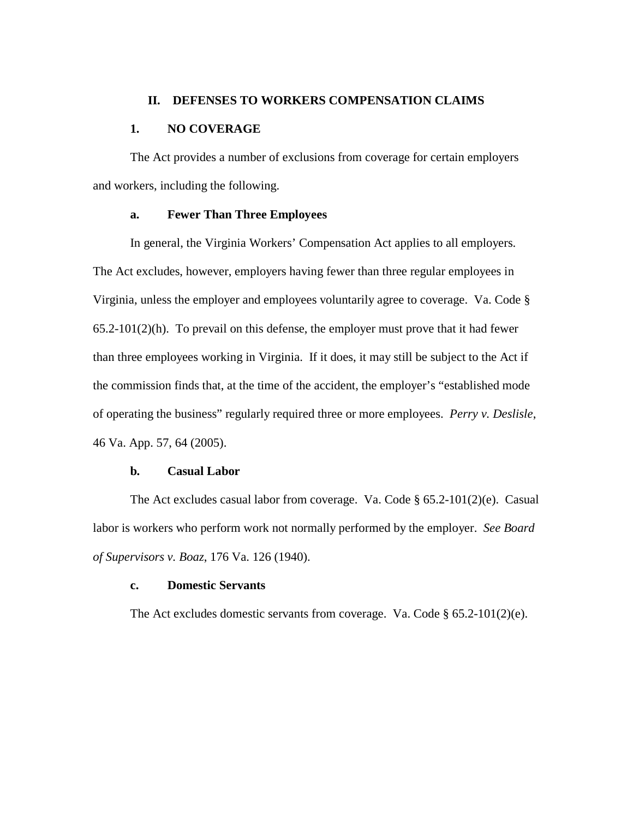#### **II. DEFENSES TO WORKERS COMPENSATION CLAIMS**

#### **1. NO COVERAGE**

The Act provides a number of exclusions from coverage for certain employers and workers, including the following.

## **a. Fewer Than Three Employees**

In general, the Virginia Workers' Compensation Act applies to all employers. The Act excludes, however, employers having fewer than three regular employees in Virginia, unless the employer and employees voluntarily agree to coverage. Va. Code § 65.2-101(2)(h). To prevail on this defense, the employer must prove that it had fewer than three employees working in Virginia. If it does, it may still be subject to the Act if the commission finds that, at the time of the accident, the employer's "established mode of operating the business" regularly required three or more employees. *Perry v. Deslisle*, 46 Va. App. 57, 64 (2005).

## **b. Casual Labor**

The Act excludes casual labor from coverage. Va. Code § 65.2-101(2)(e). Casual labor is workers who perform work not normally performed by the employer. *See Board of Supervisors v. Boaz*, 176 Va. 126 (1940).

## **c. Domestic Servants**

The Act excludes domestic servants from coverage. Va. Code  $\S 65.2\n-101(2)(e)$ .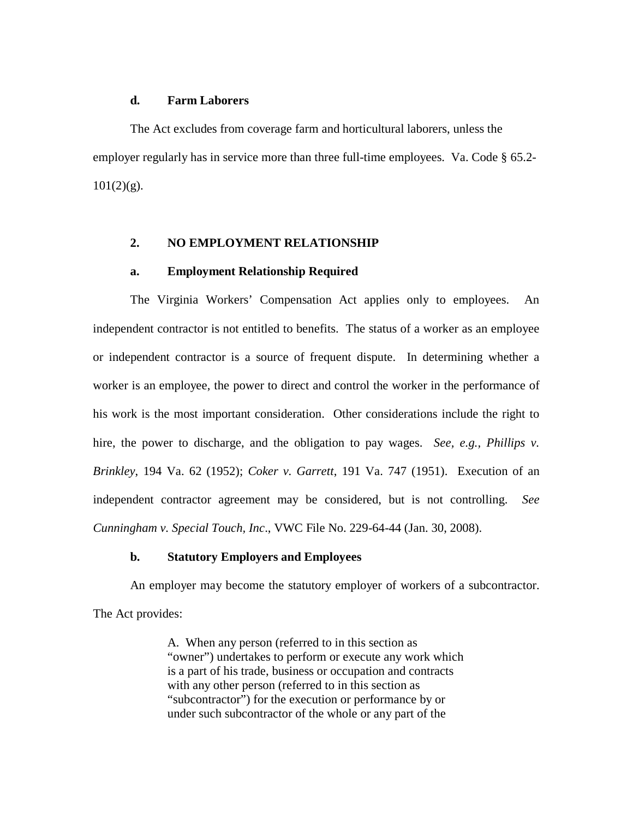## **d. Farm Laborers**

The Act excludes from coverage farm and horticultural laborers, unless the employer regularly has in service more than three full-time employees. Va. Code § 65.2-  $101(2)(g)$ .

## **2. NO EMPLOYMENT RELATIONSHIP**

## **a. Employment Relationship Required**

The Virginia Workers' Compensation Act applies only to employees. An independent contractor is not entitled to benefits. The status of a worker as an employee or independent contractor is a source of frequent dispute. In determining whether a worker is an employee, the power to direct and control the worker in the performance of his work is the most important consideration. Other considerations include the right to hire, the power to discharge, and the obligation to pay wages. *See, e.g., Phillips v. Brinkley*, 194 Va. 62 (1952); *Coker v. Garrett*, 191 Va. 747 (1951). Execution of an independent contractor agreement may be considered, but is not controlling. *See Cunningham v. Special Touch, Inc*., VWC File No. 229-64-44 (Jan. 30, 2008).

## **b. Statutory Employers and Employees**

An employer may become the statutory employer of workers of a subcontractor. The Act provides:

> A. When any person (referred to in this section as "owner") undertakes to perform or execute any work which is a part of his trade, business or occupation and contracts with any other person (referred to in this section as "subcontractor") for the execution or performance by or under such subcontractor of the whole or any part of the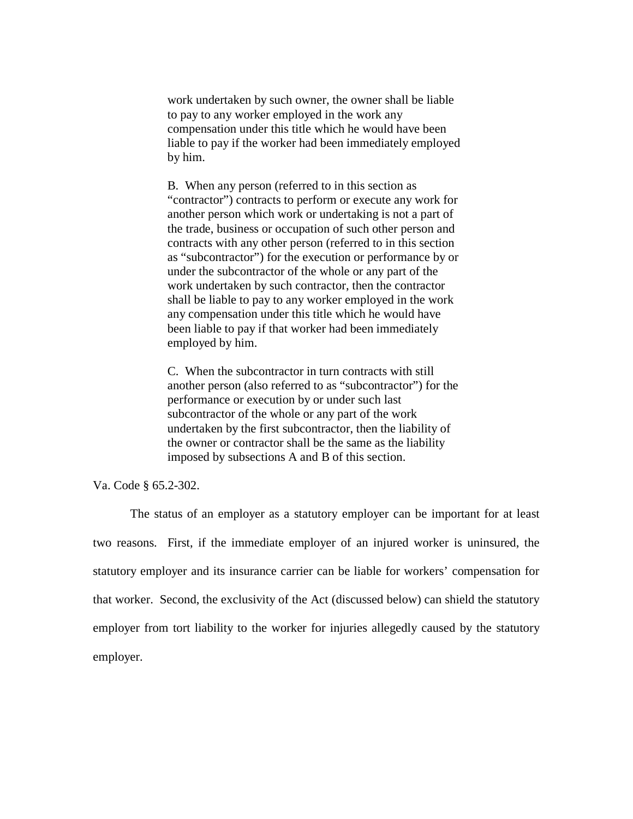work undertaken by such owner, the owner shall be liable to pay to any worker employed in the work any compensation under this title which he would have been liable to pay if the worker had been immediately employed by him.

B. When any person (referred to in this section as "contractor") contracts to perform or execute any work for another person which work or undertaking is not a part of the trade, business or occupation of such other person and contracts with any other person (referred to in this section as "subcontractor") for the execution or performance by or under the subcontractor of the whole or any part of the work undertaken by such contractor, then the contractor shall be liable to pay to any worker employed in the work any compensation under this title which he would have been liable to pay if that worker had been immediately employed by him.

C. When the subcontractor in turn contracts with still another person (also referred to as "subcontractor") for the performance or execution by or under such last subcontractor of the whole or any part of the work undertaken by the first subcontractor, then the liability of the owner or contractor shall be the same as the liability imposed by subsections A and B of this section.

Va. Code § 65.2-302.

The status of an employer as a statutory employer can be important for at least two reasons. First, if the immediate employer of an injured worker is uninsured, the statutory employer and its insurance carrier can be liable for workers' compensation for that worker. Second, the exclusivity of the Act (discussed below) can shield the statutory employer from tort liability to the worker for injuries allegedly caused by the statutory employer.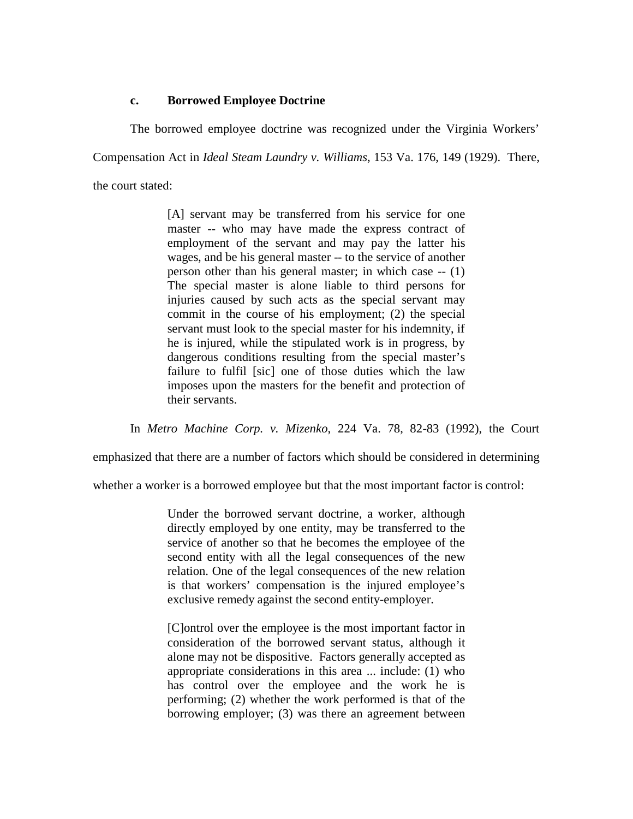## **c. Borrowed Employee Doctrine**

The borrowed employee doctrine was recognized under the Virginia Workers'

Compensation Act in *Ideal Steam Laundry v. Williams*, 153 Va. 176, 149 (1929). There,

the court stated:

[A] servant may be transferred from his service for one master -- who may have made the express contract of employment of the servant and may pay the latter his wages, and be his general master -- to the service of another person other than his general master; in which case -- (1) The special master is alone liable to third persons for injuries caused by such acts as the special servant may commit in the course of his employment; (2) the special servant must look to the special master for his indemnity, if he is injured, while the stipulated work is in progress, by dangerous conditions resulting from the special master's failure to fulfil [sic] one of those duties which the law imposes upon the masters for the benefit and protection of their servants.

In *Metro Machine Corp. v. Mizenko*, 224 Va. 78, 82-83 (1992), the Court

emphasized that there are a number of factors which should be considered in determining

whether a worker is a borrowed employee but that the most important factor is control:

Under the borrowed servant doctrine, a worker, although directly employed by one entity, may be transferred to the service of another so that he becomes the employee of the second entity with all the legal consequences of the new relation. One of the legal consequences of the new relation is that workers' compensation is the injured employee's exclusive remedy against the second entity-employer.

[C]ontrol over the employee is the most important factor in consideration of the borrowed servant status, although it alone may not be dispositive. Factors generally accepted as appropriate considerations in this area ... include: (1) who has control over the employee and the work he is performing; (2) whether the work performed is that of the borrowing employer; (3) was there an agreement between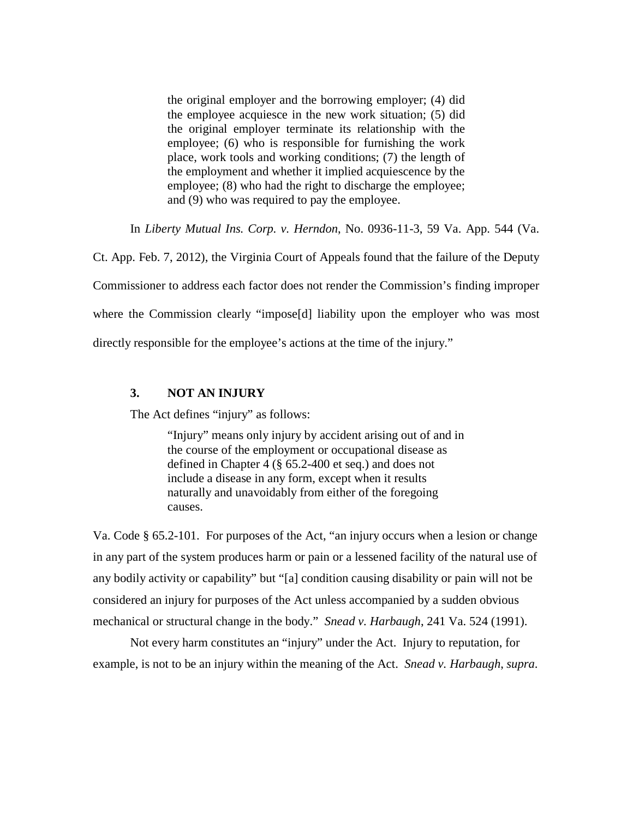the original employer and the borrowing employer; (4) did the employee acquiesce in the new work situation; (5) did the original employer terminate its relationship with the employee; (6) who is responsible for furnishing the work place, work tools and working conditions; (7) the length of the employment and whether it implied acquiescence by the employee; (8) who had the right to discharge the employee; and (9) who was required to pay the employee.

In *Liberty Mutual Ins. Corp. v. Herndon*, No. 0936-11-3, 59 Va. App. 544 (Va.

Ct. App. Feb. 7, 2012), the Virginia Court of Appeals found that the failure of the Deputy Commissioner to address each factor does not render the Commission's finding improper where the Commission clearly "impose<sup>[d]</sup> liability upon the employer who was most directly responsible for the employee's actions at the time of the injury."

## **3. NOT AN INJURY**

The Act defines "injury" as follows:

"Injury" means only injury by accident arising out of and in the course of the employment or occupational disease as defined in Chapter 4 (§ 65.2-400 et seq.) and does not include a disease in any form, except when it results naturally and unavoidably from either of the foregoing causes.

Va. Code § 65.2-101. For purposes of the Act, "an injury occurs when a lesion or change in any part of the system produces harm or pain or a lessened facility of the natural use of any bodily activity or capability" but "[a] condition causing disability or pain will not be considered an injury for purposes of the Act unless accompanied by a sudden obvious mechanical or structural change in the body." *Snead v. Harbaugh*, 241 Va. 524 (1991).

Not every harm constitutes an "injury" under the Act. Injury to reputation, for example, is not to be an injury within the meaning of the Act. *Snead v. Harbaugh*, *supra*.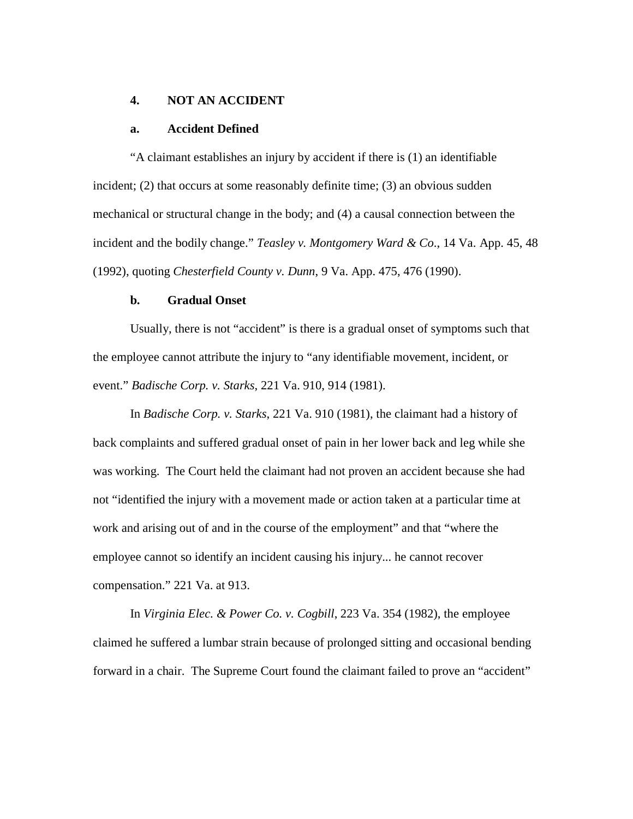#### **4. NOT AN ACCIDENT**

#### **a. Accident Defined**

"A claimant establishes an injury by accident if there is (1) an identifiable incident; (2) that occurs at some reasonably definite time; (3) an obvious sudden mechanical or structural change in the body; and (4) a causal connection between the incident and the bodily change." *Teasley v. Montgomery Ward & Co*., 14 Va. App. 45, 48 (1992), quoting *Chesterfield County v. Dunn*, 9 Va. App. 475, 476 (1990).

## **b. Gradual Onset**

Usually, there is not "accident" is there is a gradual onset of symptoms such that the employee cannot attribute the injury to "any identifiable movement, incident, or event." *Badische Corp. v. Starks*, 221 Va. 910, 914 (1981).

In *Badische Corp. v. Starks*, 221 Va. 910 (1981), the claimant had a history of back complaints and suffered gradual onset of pain in her lower back and leg while she was working. The Court held the claimant had not proven an accident because she had not "identified the injury with a movement made or action taken at a particular time at work and arising out of and in the course of the employment" and that "where the employee cannot so identify an incident causing his injury... he cannot recover compensation." 221 Va. at 913.

In *Virginia Elec. & Power Co. v. Cogbill*, 223 Va. 354 (1982), the employee claimed he suffered a lumbar strain because of prolonged sitting and occasional bending forward in a chair. The Supreme Court found the claimant failed to prove an "accident"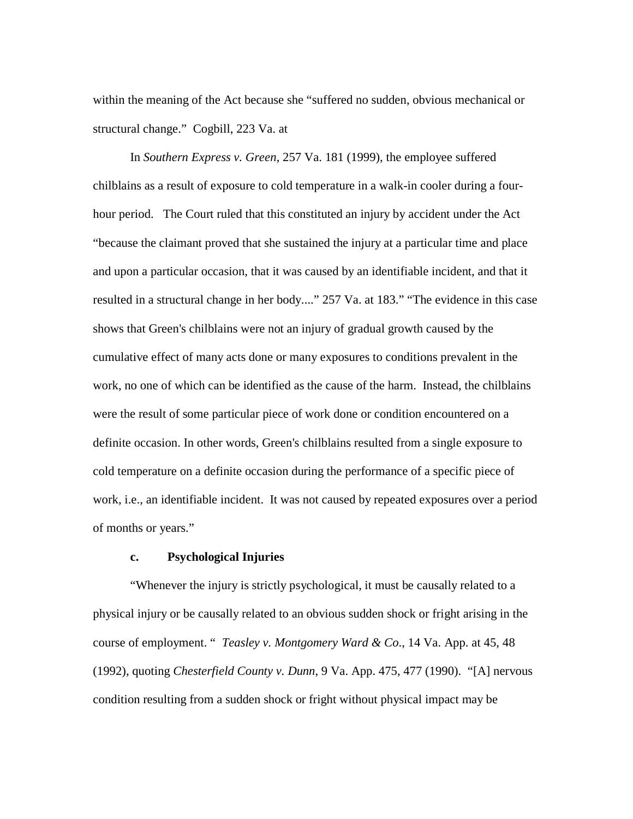within the meaning of the Act because she "suffered no sudden, obvious mechanical or structural change." Cogbill, 223 Va. at

In *Southern Express v. Green*, 257 Va. 181 (1999), the employee suffered chilblains as a result of exposure to cold temperature in a walk-in cooler during a fourhour period. The Court ruled that this constituted an injury by accident under the Act "because the claimant proved that she sustained the injury at a particular time and place and upon a particular occasion, that it was caused by an identifiable incident, and that it resulted in a structural change in her body...." 257 Va. at 183." "The evidence in this case shows that Green's chilblains were not an injury of gradual growth caused by the cumulative effect of many acts done or many exposures to conditions prevalent in the work, no one of which can be identified as the cause of the harm. Instead, the chilblains were the result of some particular piece of work done or condition encountered on a definite occasion. In other words, Green's chilblains resulted from a single exposure to cold temperature on a definite occasion during the performance of a specific piece of work, i.e., an identifiable incident. It was not caused by repeated exposures over a period of months or years."

## **c. Psychological Injuries**

"Whenever the injury is strictly psychological, it must be causally related to a physical injury or be causally related to an obvious sudden shock or fright arising in the course of employment. " *Teasley v. Montgomery Ward & Co*., 14 Va. App. at 45, 48 (1992), quoting *Chesterfield County v. Dunn*, 9 Va. App. 475, 477 (1990). "[A] nervous condition resulting from a sudden shock or fright without physical impact may be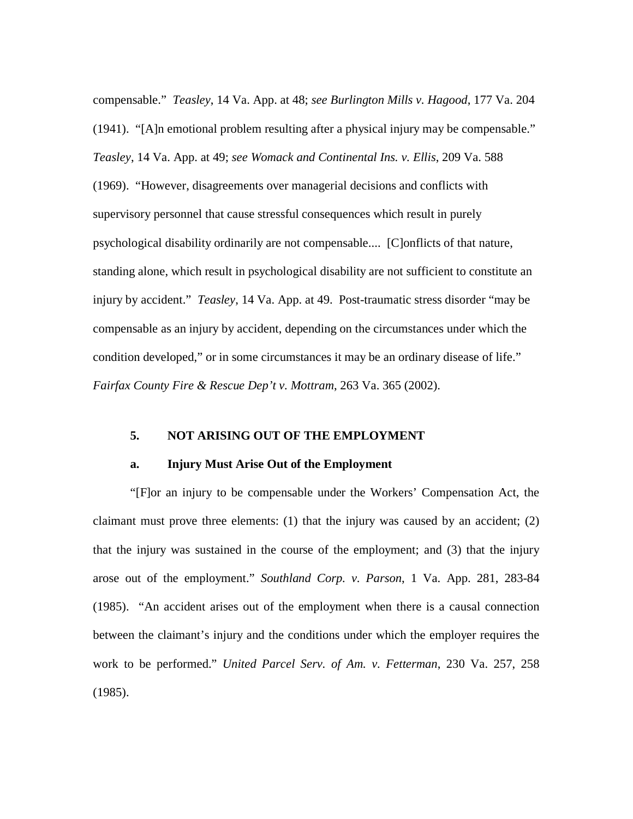compensable." *Teasley*, 14 Va. App. at 48; *see Burlington Mills v. Hagood*, 177 Va. 204 (1941). "[A]n emotional problem resulting after a physical injury may be compensable." *Teasley*, 14 Va. App. at 49; *see Womack and Continental Ins. v. Ellis*, 209 Va. 588 (1969). "However, disagreements over managerial decisions and conflicts with supervisory personnel that cause stressful consequences which result in purely psychological disability ordinarily are not compensable.... [C]onflicts of that nature, standing alone, which result in psychological disability are not sufficient to constitute an injury by accident." *Teasley*, 14 Va. App. at 49. Post-traumatic stress disorder "may be compensable as an injury by accident, depending on the circumstances under which the condition developed," or in some circumstances it may be an ordinary disease of life." *Fairfax County Fire & Rescue Dep't v. Mottram*, 263 Va. 365 (2002).

## **5. NOT ARISING OUT OF THE EMPLOYMENT**

#### **a. Injury Must Arise Out of the Employment**

"[F]or an injury to be compensable under the Workers' Compensation Act, the claimant must prove three elements: (1) that the injury was caused by an accident; (2) that the injury was sustained in the course of the employment; and (3) that the injury arose out of the employment." *Southland Corp. v. Parson*, 1 Va. App. 281, 283-84 (1985). "An accident arises out of the employment when there is a causal connection between the claimant's injury and the conditions under which the employer requires the work to be performed." *United Parcel Serv. of Am. v. Fetterman*, 230 Va. 257, 258 (1985).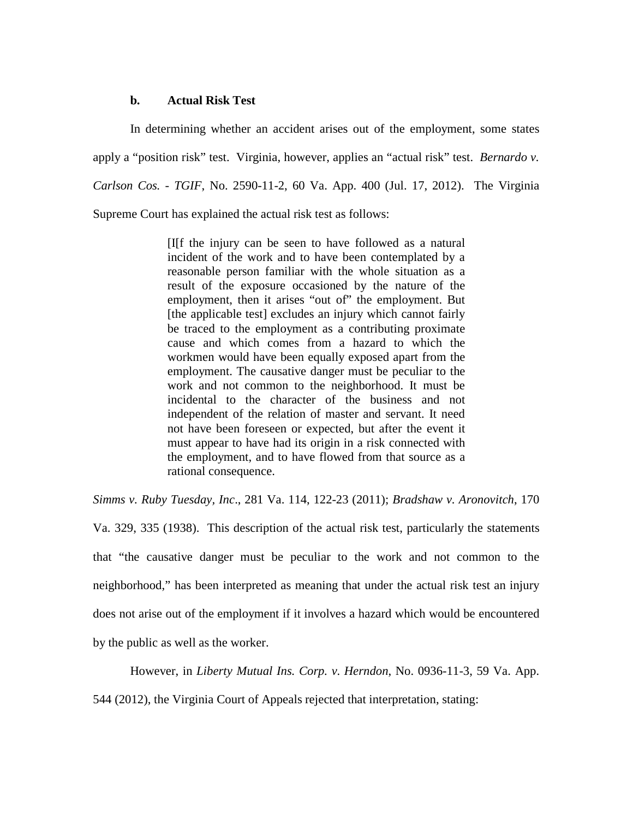## **b. Actual Risk Test**

In determining whether an accident arises out of the employment, some states apply a "position risk" test. Virginia, however, applies an "actual risk" test. *Bernardo v. Carlson Cos. - TGIF*, No. 2590-11-2, 60 Va. App. 400 (Jul. 17, 2012). The Virginia

Supreme Court has explained the actual risk test as follows:

[I[f the injury can be seen to have followed as a natural incident of the work and to have been contemplated by a reasonable person familiar with the whole situation as a result of the exposure occasioned by the nature of the employment, then it arises "out of" the employment. But [the applicable test] excludes an injury which cannot fairly be traced to the employment as a contributing proximate cause and which comes from a hazard to which the workmen would have been equally exposed apart from the employment. The causative danger must be peculiar to the work and not common to the neighborhood. It must be incidental to the character of the business and not independent of the relation of master and servant. It need not have been foreseen or expected, but after the event it must appear to have had its origin in a risk connected with the employment, and to have flowed from that source as a rational consequence.

*Simms v. Ruby Tuesday, Inc*., 281 Va. 114, 122-23 (2011); *Bradshaw v. Aronovitch*, 170

Va. 329, 335 (1938). This description of the actual risk test, particularly the statements that "the causative danger must be peculiar to the work and not common to the neighborhood," has been interpreted as meaning that under the actual risk test an injury does not arise out of the employment if it involves a hazard which would be encountered by the public as well as the worker.

However, in *Liberty Mutual Ins. Corp. v. Herndon*, No. 0936-11-3, 59 Va. App. 544 (2012), the Virginia Court of Appeals rejected that interpretation, stating: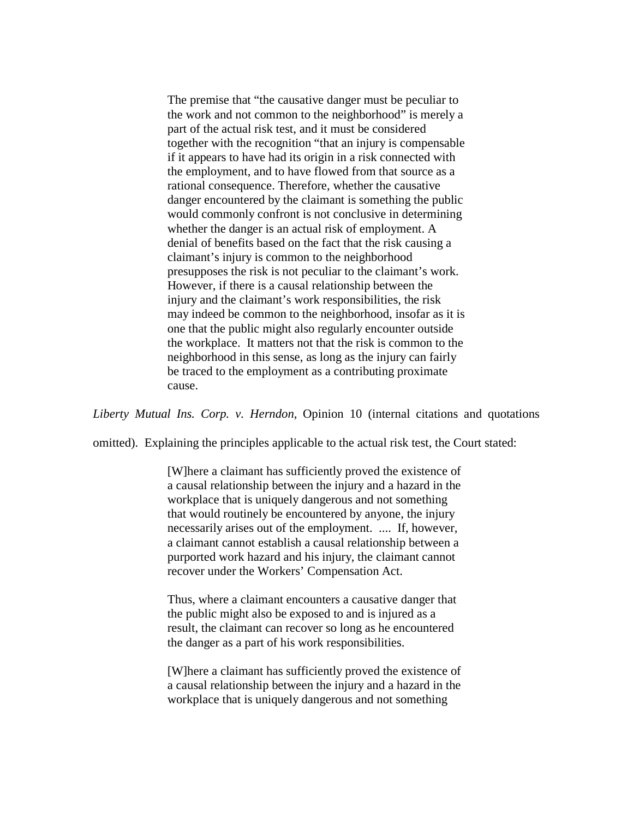The premise that "the causative danger must be peculiar to the work and not common to the neighborhood" is merely a part of the actual risk test, and it must be considered together with the recognition "that an injury is compensable if it appears to have had its origin in a risk connected with the employment, and to have flowed from that source as a rational consequence. Therefore, whether the causative danger encountered by the claimant is something the public would commonly confront is not conclusive in determining whether the danger is an actual risk of employment. A denial of benefits based on the fact that the risk causing a claimant's injury is common to the neighborhood presupposes the risk is not peculiar to the claimant's work. However, if there is a causal relationship between the injury and the claimant's work responsibilities, the risk may indeed be common to the neighborhood, insofar as it is one that the public might also regularly encounter outside the workplace. It matters not that the risk is common to the neighborhood in this sense, as long as the injury can fairly be traced to the employment as a contributing proximate cause.

*Liberty Mutual Ins. Corp. v. Herndon*, Opinion 10 (internal citations and quotations

omitted). Explaining the principles applicable to the actual risk test, the Court stated:

[W]here a claimant has sufficiently proved the existence of a causal relationship between the injury and a hazard in the workplace that is uniquely dangerous and not something that would routinely be encountered by anyone, the injury necessarily arises out of the employment. .... If, however, a claimant cannot establish a causal relationship between a purported work hazard and his injury, the claimant cannot recover under the Workers' Compensation Act.

Thus, where a claimant encounters a causative danger that the public might also be exposed to and is injured as a result, the claimant can recover so long as he encountered the danger as a part of his work responsibilities.

[W]here a claimant has sufficiently proved the existence of a causal relationship between the injury and a hazard in the workplace that is uniquely dangerous and not something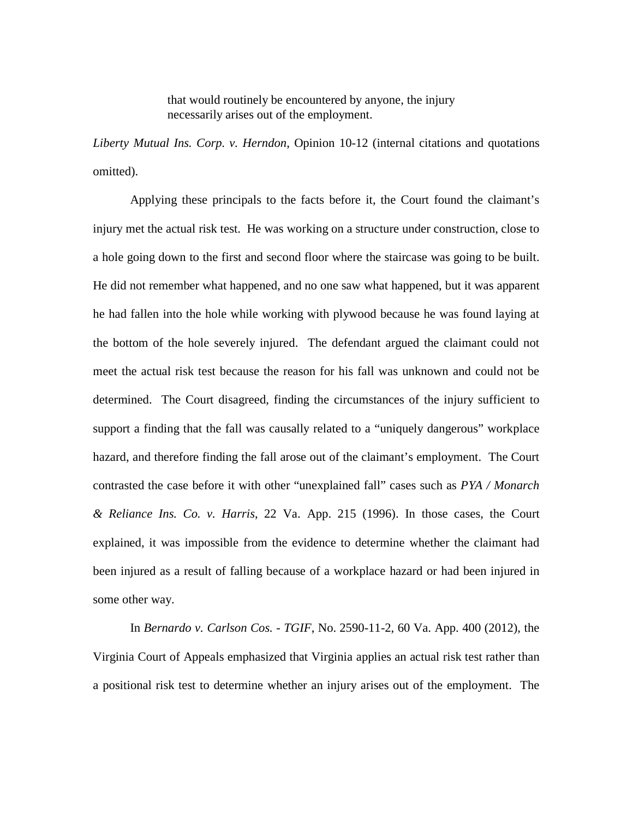that would routinely be encountered by anyone, the injury necessarily arises out of the employment.

*Liberty Mutual Ins. Corp. v. Herndon*, Opinion 10-12 (internal citations and quotations omitted).

Applying these principals to the facts before it, the Court found the claimant's injury met the actual risk test. He was working on a structure under construction, close to a hole going down to the first and second floor where the staircase was going to be built. He did not remember what happened, and no one saw what happened, but it was apparent he had fallen into the hole while working with plywood because he was found laying at the bottom of the hole severely injured. The defendant argued the claimant could not meet the actual risk test because the reason for his fall was unknown and could not be determined. The Court disagreed, finding the circumstances of the injury sufficient to support a finding that the fall was causally related to a "uniquely dangerous" workplace hazard, and therefore finding the fall arose out of the claimant's employment. The Court contrasted the case before it with other "unexplained fall" cases such as *PYA / Monarch & Reliance Ins. Co. v. Harris*, 22 Va. App. 215 (1996). In those cases, the Court explained, it was impossible from the evidence to determine whether the claimant had been injured as a result of falling because of a workplace hazard or had been injured in some other way.

In *Bernardo v. Carlson Cos. - TGIF*, No. 2590-11-2, 60 Va. App. 400 (2012), the Virginia Court of Appeals emphasized that Virginia applies an actual risk test rather than a positional risk test to determine whether an injury arises out of the employment. The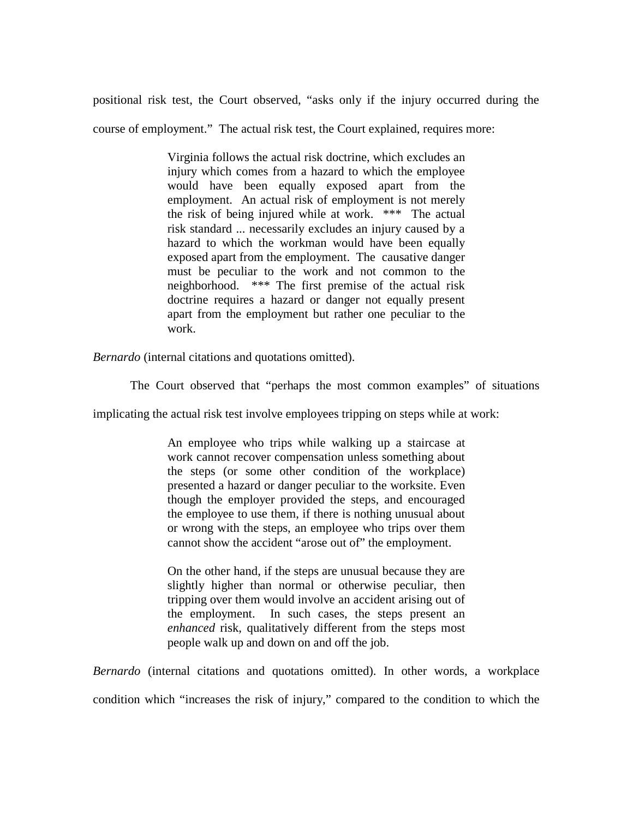positional risk test, the Court observed, "asks only if the injury occurred during the course of employment." The actual risk test, the Court explained, requires more:

> Virginia follows the actual risk doctrine, which excludes an injury which comes from a hazard to which the employee would have been equally exposed apart from the employment. An actual risk of employment is not merely the risk of being injured while at work. \*\*\* The actual risk standard ... necessarily excludes an injury caused by a hazard to which the workman would have been equally exposed apart from the employment. The causative danger must be peculiar to the work and not common to the neighborhood. \*\*\* The first premise of the actual risk doctrine requires a hazard or danger not equally present apart from the employment but rather one peculiar to the work.

*Bernardo* (internal citations and quotations omitted).

The Court observed that "perhaps the most common examples" of situations

implicating the actual risk test involve employees tripping on steps while at work:

An employee who trips while walking up a staircase at work cannot recover compensation unless something about the steps (or some other condition of the workplace) presented a hazard or danger peculiar to the worksite. Even though the employer provided the steps, and encouraged the employee to use them, if there is nothing unusual about or wrong with the steps, an employee who trips over them cannot show the accident "arose out of" the employment.

On the other hand, if the steps are unusual because they are slightly higher than normal or otherwise peculiar, then tripping over them would involve an accident arising out of the employment. In such cases, the steps present an *enhanced* risk, qualitatively different from the steps most people walk up and down on and off the job.

*Bernardo* (internal citations and quotations omitted). In other words, a workplace condition which "increases the risk of injury," compared to the condition to which the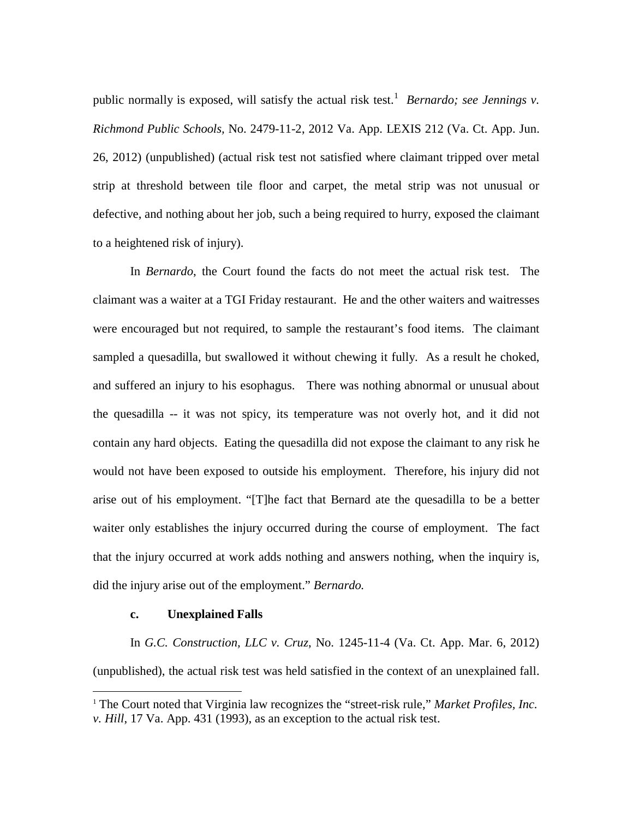public normally is exposed, will satisfy the actual risk test.<sup>[1](#page-13-0)</sup> *Bernardo; see Jennings v. Richmond Public Schools,* No. 2479-11-2, 2012 Va. App. LEXIS 212 (Va. Ct. App. Jun. 26, 2012) (unpublished) (actual risk test not satisfied where claimant tripped over metal strip at threshold between tile floor and carpet, the metal strip was not unusual or defective, and nothing about her job, such a being required to hurry, exposed the claimant to a heightened risk of injury).

In *Bernardo*, the Court found the facts do not meet the actual risk test. The claimant was a waiter at a TGI Friday restaurant. He and the other waiters and waitresses were encouraged but not required, to sample the restaurant's food items. The claimant sampled a quesadilla, but swallowed it without chewing it fully. As a result he choked, and suffered an injury to his esophagus. There was nothing abnormal or unusual about the quesadilla -- it was not spicy, its temperature was not overly hot, and it did not contain any hard objects. Eating the quesadilla did not expose the claimant to any risk he would not have been exposed to outside his employment. Therefore, his injury did not arise out of his employment. "[T]he fact that Bernard ate the quesadilla to be a better waiter only establishes the injury occurred during the course of employment. The fact that the injury occurred at work adds nothing and answers nothing, when the inquiry is, did the injury arise out of the employment." *Bernardo.*

## **c. Unexplained Falls**

 $\overline{a}$ 

In *G.C. Construction, LLC v. Cruz*, No. 1245-11-4 (Va. Ct. App. Mar. 6, 2012) (unpublished), the actual risk test was held satisfied in the context of an unexplained fall.

<span id="page-13-0"></span><sup>&</sup>lt;sup>1</sup> The Court noted that Virginia law recognizes the "street-risk rule," *Market Profiles, Inc. v. Hill*, 17 Va. App. 431 (1993), as an exception to the actual risk test.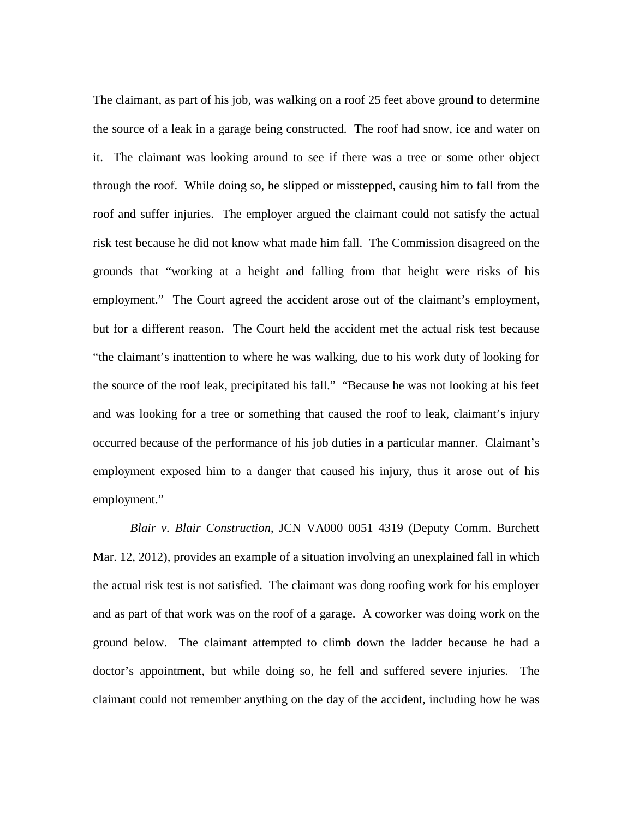The claimant, as part of his job, was walking on a roof 25 feet above ground to determine the source of a leak in a garage being constructed. The roof had snow, ice and water on it. The claimant was looking around to see if there was a tree or some other object through the roof. While doing so, he slipped or misstepped, causing him to fall from the roof and suffer injuries. The employer argued the claimant could not satisfy the actual risk test because he did not know what made him fall. The Commission disagreed on the grounds that "working at a height and falling from that height were risks of his employment." The Court agreed the accident arose out of the claimant's employment, but for a different reason. The Court held the accident met the actual risk test because "the claimant's inattention to where he was walking, due to his work duty of looking for the source of the roof leak, precipitated his fall." "Because he was not looking at his feet and was looking for a tree or something that caused the roof to leak, claimant's injury occurred because of the performance of his job duties in a particular manner. Claimant's employment exposed him to a danger that caused his injury, thus it arose out of his employment."

*Blair v. Blair Construction*, JCN VA000 0051 4319 (Deputy Comm. Burchett Mar. 12, 2012), provides an example of a situation involving an unexplained fall in which the actual risk test is not satisfied. The claimant was dong roofing work for his employer and as part of that work was on the roof of a garage. A coworker was doing work on the ground below. The claimant attempted to climb down the ladder because he had a doctor's appointment, but while doing so, he fell and suffered severe injuries. The claimant could not remember anything on the day of the accident, including how he was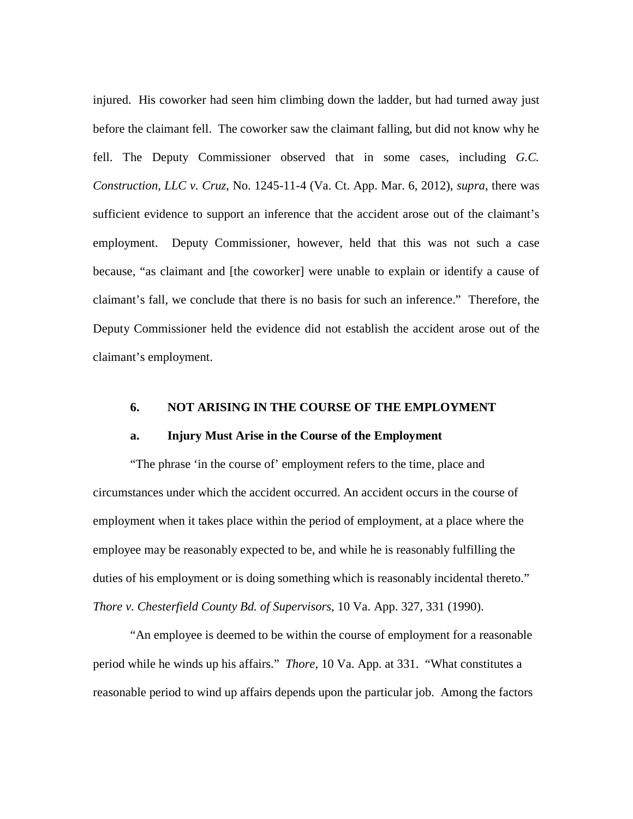injured. His coworker had seen him climbing down the ladder, but had turned away just before the claimant fell. The coworker saw the claimant falling, but did not know why he fell. The Deputy Commissioner observed that in some cases, including *G.C. Construction, LLC v. Cruz*, No. 1245-11-4 (Va. Ct. App. Mar. 6, 2012), *supra*, there was sufficient evidence to support an inference that the accident arose out of the claimant's employment. Deputy Commissioner, however, held that this was not such a case because, "as claimant and [the coworker] were unable to explain or identify a cause of claimant's fall, we conclude that there is no basis for such an inference." Therefore, the Deputy Commissioner held the evidence did not establish the accident arose out of the claimant's employment.

#### **6. NOT ARISING IN THE COURSE OF THE EMPLOYMENT**

#### **a. Injury Must Arise in the Course of the Employment**

"The phrase 'in the course of' employment refers to the time, place and circumstances under which the accident occurred. An accident occurs in the course of employment when it takes place within the period of employment, at a place where the employee may be reasonably expected to be, and while he is reasonably fulfilling the duties of his employment or is doing something which is reasonably incidental thereto." *Thore v. Chesterfield County Bd. of Supervisors*, 10 Va. App. 327, 331 (1990).

"An employee is deemed to be within the course of employment for a reasonable period while he winds up his affairs." *Thore*, 10 Va. App. at 331. "What constitutes a reasonable period to wind up affairs depends upon the particular job. Among the factors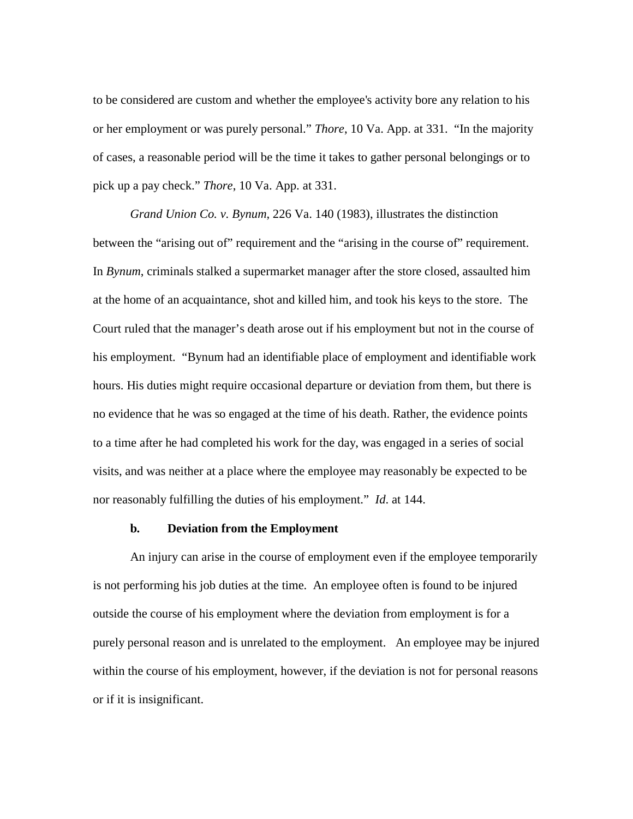to be considered are custom and whether the employee's activity bore any relation to his or her employment or was purely personal." *Thore*, 10 Va. App. at 331. "In the majority of cases, a reasonable period will be the time it takes to gather personal belongings or to pick up a pay check." *Thore*, 10 Va. App. at 331.

*Grand Union Co. v. Bynum*, 226 Va. 140 (1983), illustrates the distinction between the "arising out of" requirement and the "arising in the course of" requirement. In *Bynum*, criminals stalked a supermarket manager after the store closed, assaulted him at the home of an acquaintance, shot and killed him, and took his keys to the store. The Court ruled that the manager's death arose out if his employment but not in the course of his employment. "Bynum had an identifiable place of employment and identifiable work hours. His duties might require occasional departure or deviation from them, but there is no evidence that he was so engaged at the time of his death. Rather, the evidence points to a time after he had completed his work for the day, was engaged in a series of social visits, and was neither at a place where the employee may reasonably be expected to be nor reasonably fulfilling the duties of his employment." *Id*. at 144.

## **b. Deviation from the Employment**

An injury can arise in the course of employment even if the employee temporarily is not performing his job duties at the time. An employee often is found to be injured outside the course of his employment where the deviation from employment is for a purely personal reason and is unrelated to the employment. An employee may be injured within the course of his employment, however, if the deviation is not for personal reasons or if it is insignificant.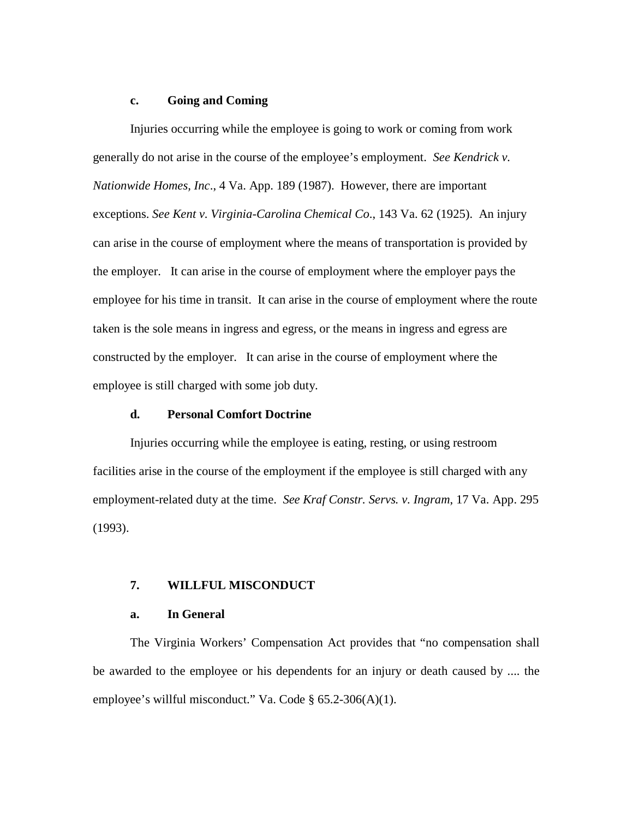## **c. Going and Coming**

Injuries occurring while the employee is going to work or coming from work generally do not arise in the course of the employee's employment. *See Kendrick v. Nationwide Homes, Inc*., 4 Va. App. 189 (1987). However, there are important exceptions. *See Kent v. Virginia-Carolina Chemical Co*., 143 Va. 62 (1925). An injury can arise in the course of employment where the means of transportation is provided by the employer. It can arise in the course of employment where the employer pays the employee for his time in transit. It can arise in the course of employment where the route taken is the sole means in ingress and egress, or the means in ingress and egress are constructed by the employer. It can arise in the course of employment where the employee is still charged with some job duty.

#### **d. Personal Comfort Doctrine**

Injuries occurring while the employee is eating, resting, or using restroom facilities arise in the course of the employment if the employee is still charged with any employment-related duty at the time. *See Kraf Constr. Servs. v. Ingram*, 17 Va. App. 295 (1993).

## **7. WILLFUL MISCONDUCT**

## **a. In General**

The Virginia Workers' Compensation Act provides that "no compensation shall be awarded to the employee or his dependents for an injury or death caused by .... the employee's willful misconduct." Va. Code  $\S 65.2\n-306(A)(1)$ .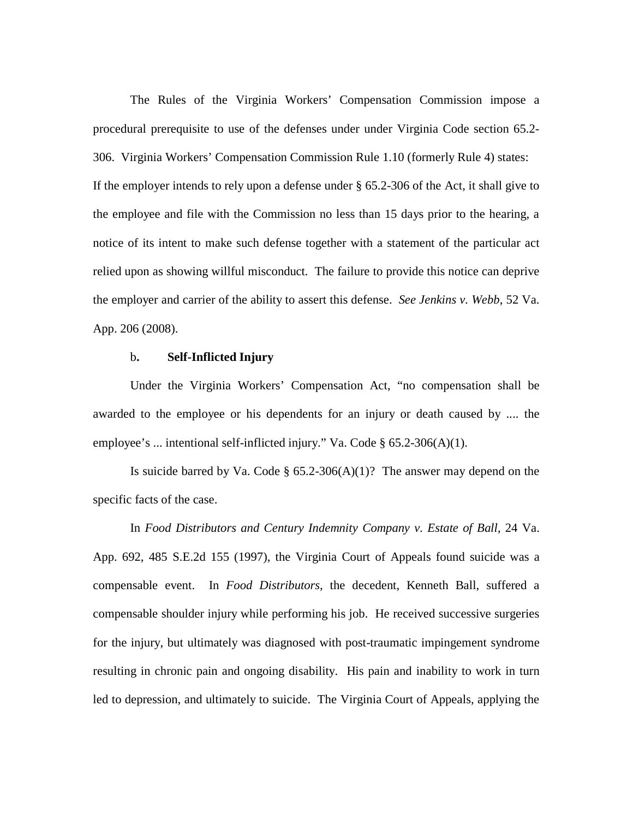The Rules of the Virginia Workers' Compensation Commission impose a procedural prerequisite to use of the defenses under under Virginia Code section 65.2- 306. Virginia Workers' Compensation Commission Rule 1.10 (formerly Rule 4) states: If the employer intends to rely upon a defense under § 65.2-306 of the Act, it shall give to the employee and file with the Commission no less than 15 days prior to the hearing, a notice of its intent to make such defense together with a statement of the particular act relied upon as showing willful misconduct. The failure to provide this notice can deprive the employer and carrier of the ability to assert this defense. *See Jenkins v. Webb*, 52 Va. App. 206 (2008).

## b**. Self-Inflicted Injury**

Under the Virginia Workers' Compensation Act, "no compensation shall be awarded to the employee or his dependents for an injury or death caused by .... the employee's ... intentional self-inflicted injury." Va. Code § 65.2-306(A)(1).

Is suicide barred by Va. Code  $\S$  65.2-306(A)(1)? The answer may depend on the specific facts of the case.

In *Food Distributors and Century Indemnity Company v. Estate of Ball*, 24 Va. App. 692, 485 S.E.2d 155 (1997), the Virginia Court of Appeals found suicide was a compensable event. In *Food Distributors*, the decedent, Kenneth Ball, suffered a compensable shoulder injury while performing his job. He received successive surgeries for the injury, but ultimately was diagnosed with post-traumatic impingement syndrome resulting in chronic pain and ongoing disability. His pain and inability to work in turn led to depression, and ultimately to suicide. The Virginia Court of Appeals, applying the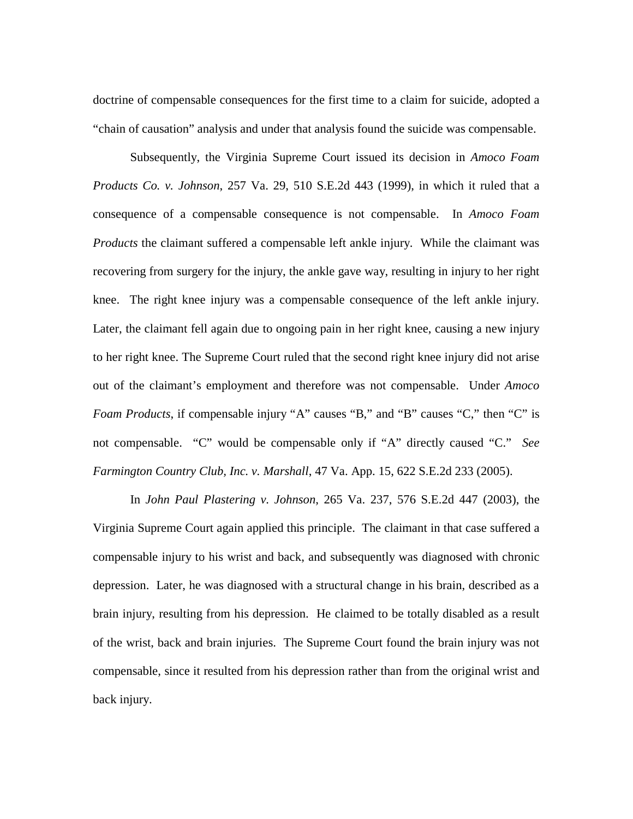doctrine of compensable consequences for the first time to a claim for suicide, adopted a "chain of causation" analysis and under that analysis found the suicide was compensable.

Subsequently, the Virginia Supreme Court issued its decision in *Amoco Foam Products Co. v. Johnson*, 257 Va. 29, 510 S.E.2d 443 (1999), in which it ruled that a consequence of a compensable consequence is not compensable. In *Amoco Foam Products* the claimant suffered a compensable left ankle injury. While the claimant was recovering from surgery for the injury, the ankle gave way, resulting in injury to her right knee. The right knee injury was a compensable consequence of the left ankle injury. Later, the claimant fell again due to ongoing pain in her right knee, causing a new injury to her right knee. The Supreme Court ruled that the second right knee injury did not arise out of the claimant's employment and therefore was not compensable. Under *Amoco Foam Products*, if compensable injury "A" causes "B," and "B" causes "C," then "C" is not compensable. "C" would be compensable only if "A" directly caused "C." *See Farmington Country Club, Inc. v. Marshall*, 47 Va. App. 15, 622 S.E.2d 233 (2005).

In *John Paul Plastering v. Johnson*, 265 Va. 237, 576 S.E.2d 447 (2003), the Virginia Supreme Court again applied this principle. The claimant in that case suffered a compensable injury to his wrist and back, and subsequently was diagnosed with chronic depression. Later, he was diagnosed with a structural change in his brain, described as a brain injury, resulting from his depression. He claimed to be totally disabled as a result of the wrist, back and brain injuries. The Supreme Court found the brain injury was not compensable, since it resulted from his depression rather than from the original wrist and back injury.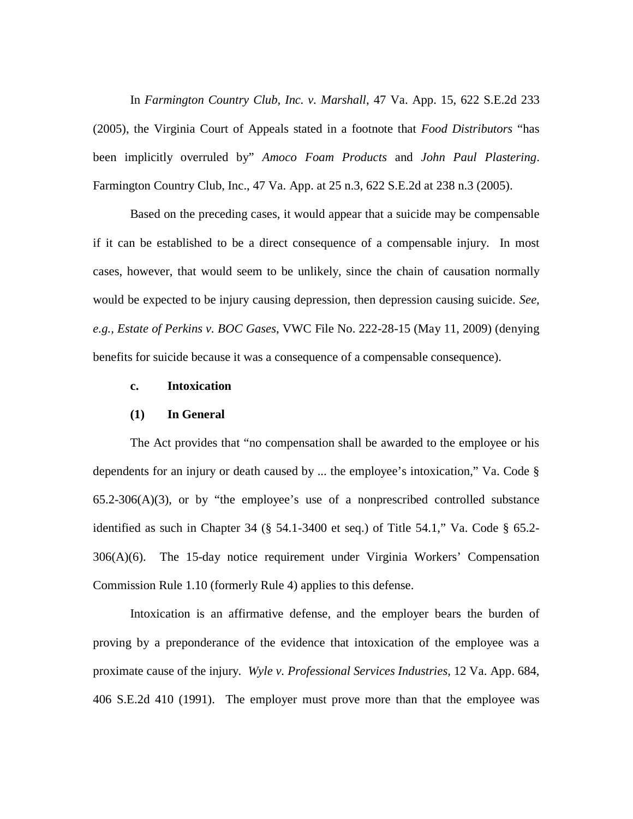In *Farmington Country Club, Inc. v. Marshall*, 47 Va. App. 15, 622 S.E.2d 233 (2005), the Virginia Court of Appeals stated in a footnote that *Food Distributors* "has been implicitly overruled by" *Amoco Foam Products* and *John Paul Plastering*. Farmington Country Club, Inc., 47 Va. App. at 25 n.3, 622 S.E.2d at 238 n.3 (2005).

Based on the preceding cases, it would appear that a suicide may be compensable if it can be established to be a direct consequence of a compensable injury. In most cases, however, that would seem to be unlikely, since the chain of causation normally would be expected to be injury causing depression, then depression causing suicide. *See, e.g., Estate of Perkins v. BOC Gases*, VWC File No. 222-28-15 (May 11, 2009) (denying benefits for suicide because it was a consequence of a compensable consequence).

## **c. Intoxication**

#### **(1) In General**

The Act provides that "no compensation shall be awarded to the employee or his dependents for an injury or death caused by ... the employee's intoxication," Va. Code §  $65.2-306(A)(3)$ , or by "the employee's use of a nonprescribed controlled substance identified as such in Chapter 34 ( $\S$  54.1-3400 et seq.) of Title 54.1," Va. Code  $\S$  65.2-306(A)(6). The 15-day notice requirement under Virginia Workers' Compensation Commission Rule 1.10 (formerly Rule 4) applies to this defense.

Intoxication is an affirmative defense, and the employer bears the burden of proving by a preponderance of the evidence that intoxication of the employee was a proximate cause of the injury. *Wyle v. Professional Services Industries*, 12 Va. App. 684, 406 S.E.2d 410 (1991). The employer must prove more than that the employee was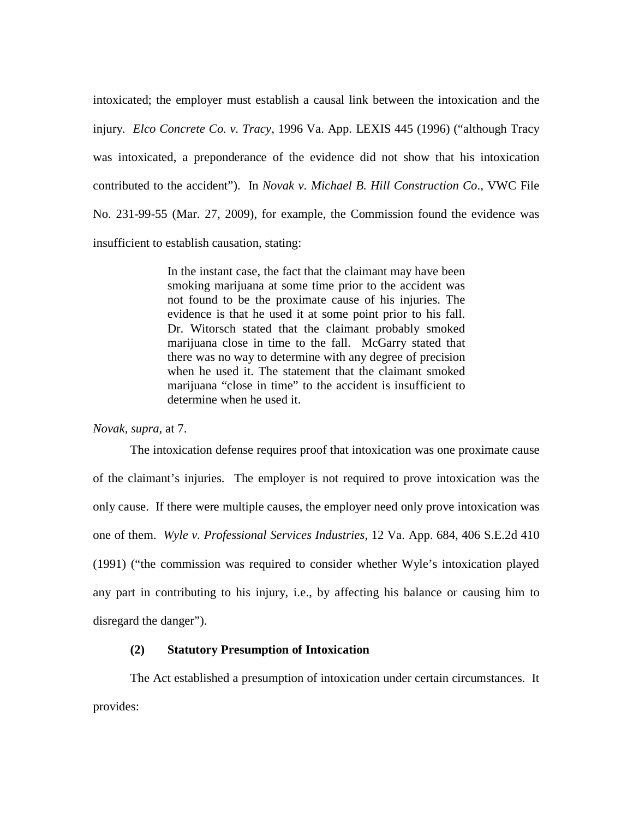intoxicated; the employer must establish a causal link between the intoxication and the injury. *Elco Concrete Co. v. Tracy*, 1996 Va. App. LEXIS 445 (1996) ("although Tracy was intoxicated, a preponderance of the evidence did not show that his intoxication contributed to the accident"). In *Novak v. Michael B. Hill Construction Co*., VWC File No. 231-99-55 (Mar. 27, 2009), for example, the Commission found the evidence was insufficient to establish causation, stating:

> In the instant case, the fact that the claimant may have been smoking marijuana at some time prior to the accident was not found to be the proximate cause of his injuries. The evidence is that he used it at some point prior to his fall. Dr. Witorsch stated that the claimant probably smoked marijuana close in time to the fall. McGarry stated that there was no way to determine with any degree of precision when he used it. The statement that the claimant smoked marijuana "close in time" to the accident is insufficient to determine when he used it.

*Novak, supra*, at 7.

The intoxication defense requires proof that intoxication was one proximate cause of the claimant's injuries. The employer is not required to prove intoxication was the only cause. If there were multiple causes, the employer need only prove intoxication was one of them. *Wyle v. Professional Services Industries*, 12 Va. App. 684, 406 S.E.2d 410 (1991) ("the commission was required to consider whether Wyle's intoxication played any part in contributing to his injury, i.e., by affecting his balance or causing him to disregard the danger").

## **(2) Statutory Presumption of Intoxication**

The Act established a presumption of intoxication under certain circumstances. It provides: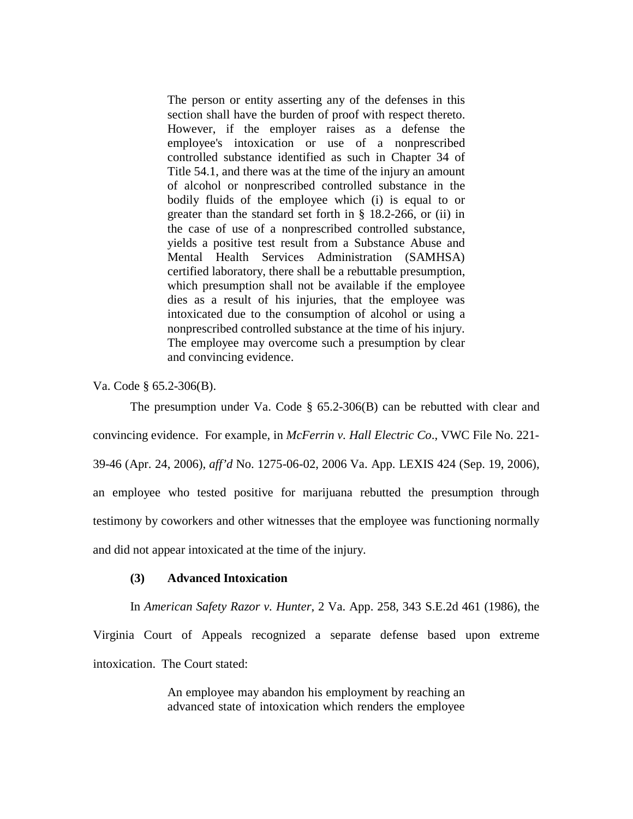The person or entity asserting any of the defenses in this section shall have the burden of proof with respect thereto. However, if the employer raises as a defense the employee's intoxication or use of a nonprescribed controlled substance identified as such in Chapter 34 of Title 54.1, and there was at the time of the injury an amount of alcohol or nonprescribed controlled substance in the bodily fluids of the employee which (i) is equal to or greater than the standard set forth in § 18.2-266, or (ii) in the case of use of a nonprescribed controlled substance, yields a positive test result from a Substance Abuse and Mental Health Services Administration (SAMHSA) certified laboratory, there shall be a rebuttable presumption, which presumption shall not be available if the employee dies as a result of his injuries, that the employee was intoxicated due to the consumption of alcohol or using a nonprescribed controlled substance at the time of his injury. The employee may overcome such a presumption by clear and convincing evidence.

Va. Code § 65.2-306(B).

The presumption under Va. Code  $\S$  65.2-306(B) can be rebutted with clear and convincing evidence. For example, in *McFerrin v. Hall Electric Co*., VWC File No. 221- 39-46 (Apr. 24, 2006), *aff'd* No. 1275-06-02, 2006 Va. App. LEXIS 424 (Sep. 19, 2006), an employee who tested positive for marijuana rebutted the presumption through testimony by coworkers and other witnesses that the employee was functioning normally and did not appear intoxicated at the time of the injury.

## **(3) Advanced Intoxication**

In *American Safety Razor v. Hunter*, 2 Va. App. 258, 343 S.E.2d 461 (1986), the Virginia Court of Appeals recognized a separate defense based upon extreme intoxication. The Court stated:

> An employee may abandon his employment by reaching an advanced state of intoxication which renders the employee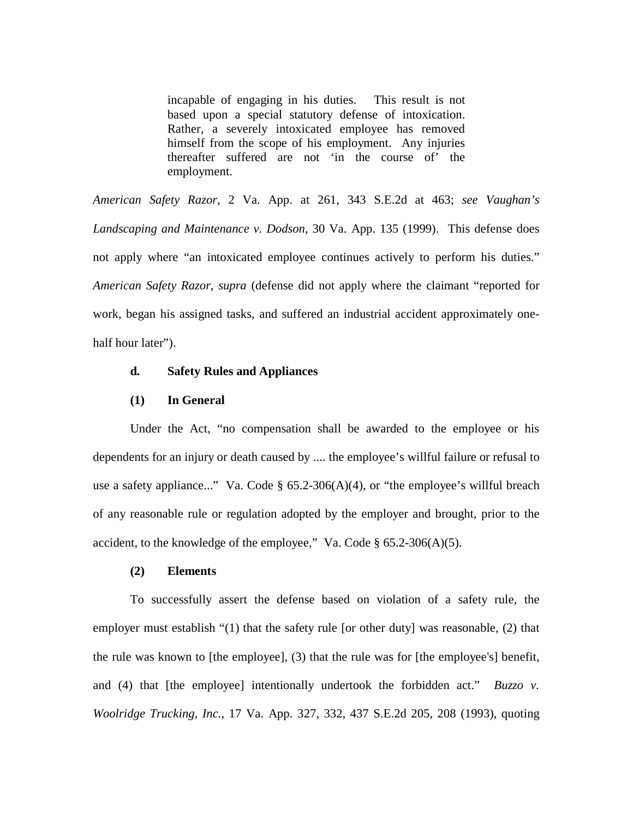incapable of engaging in his duties. This result is not based upon a special statutory defense of intoxication. Rather, a severely intoxicated employee has removed himself from the scope of his employment. Any injuries thereafter suffered are not 'in the course of' the employment.

*American Safety Razor*, 2 Va. App. at 261, 343 S.E.2d at 463; *see Vaughan's Landscaping and Maintenance v. Dodson*, 30 Va. App. 135 (1999). This defense does not apply where "an intoxicated employee continues actively to perform his duties." *American Safety Razor, supra* (defense did not apply where the claimant "reported for work, began his assigned tasks, and suffered an industrial accident approximately onehalf hour later").

## **d. Safety Rules and Appliances**

## **(1) In General**

Under the Act, "no compensation shall be awarded to the employee or his dependents for an injury or death caused by .... the employee's willful failure or refusal to use a safety appliance..." Va. Code §  $65.2\n-306(A)(4)$ , or "the employee's willful breach of any reasonable rule or regulation adopted by the employer and brought, prior to the accident, to the knowledge of the employee," Va. Code  $\S 65.2-306(A)(5)$ .

## **(2) Elements**

To successfully assert the defense based on violation of a safety rule, the employer must establish "(1) that the safety rule [or other duty] was reasonable, (2) that the rule was known to [the employee], (3) that the rule was for [the employee's] benefit, and (4) that [the employee] intentionally undertook the forbidden act." *Buzzo v. Woolridge Trucking, Inc.*, 17 Va. App. 327, 332, 437 S.E.2d 205, 208 (1993), quoting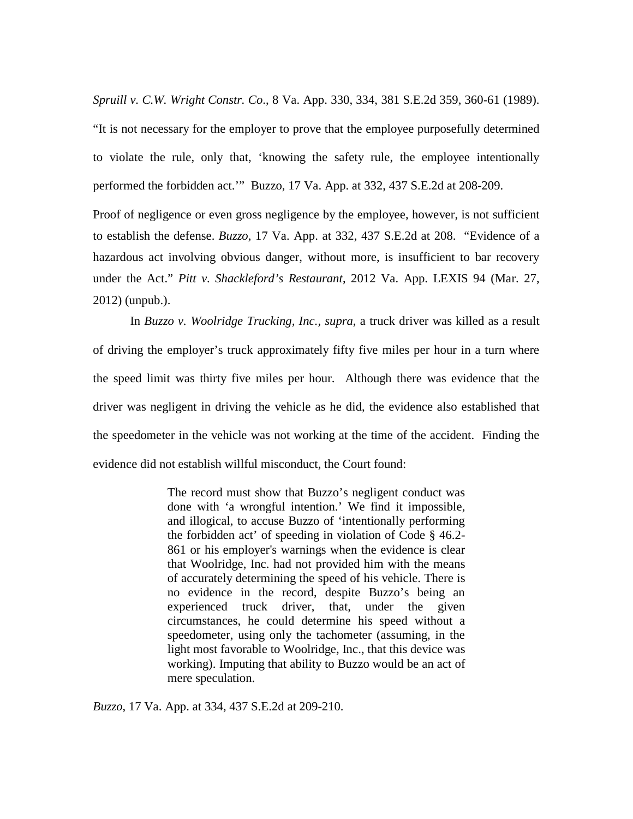*Spruill v. C.W. Wright Constr. Co*., 8 Va. App. 330, 334, 381 S.E.2d 359, 360-61 (1989). "It is not necessary for the employer to prove that the employee purposefully determined to violate the rule, only that, 'knowing the safety rule, the employee intentionally performed the forbidden act.'" Buzzo, 17 Va. App. at 332, 437 S.E.2d at 208-209.

Proof of negligence or even gross negligence by the employee, however, is not sufficient to establish the defense. *Buzzo*, 17 Va. App. at 332, 437 S.E.2d at 208. "Evidence of a hazardous act involving obvious danger, without more, is insufficient to bar recovery under the Act." *Pitt v. Shackleford's Restaurant*, 2012 Va. App. LEXIS 94 (Mar. 27, 2012) (unpub.).

In *Buzzo v. Woolridge Trucking, Inc., supra*, a truck driver was killed as a result of driving the employer's truck approximately fifty five miles per hour in a turn where the speed limit was thirty five miles per hour. Although there was evidence that the driver was negligent in driving the vehicle as he did, the evidence also established that the speedometer in the vehicle was not working at the time of the accident. Finding the evidence did not establish willful misconduct, the Court found:

> The record must show that Buzzo's negligent conduct was done with 'a wrongful intention.' We find it impossible, and illogical, to accuse Buzzo of 'intentionally performing the forbidden act' of speeding in violation of Code § 46.2- 861 or his employer's warnings when the evidence is clear that Woolridge, Inc. had not provided him with the means of accurately determining the speed of his vehicle. There is no evidence in the record, despite Buzzo's being an experienced truck driver, that, under the given circumstances, he could determine his speed without a speedometer, using only the tachometer (assuming, in the light most favorable to Woolridge, Inc., that this device was working). Imputing that ability to Buzzo would be an act of mere speculation.

*Buzzo*, 17 Va. App. at 334, 437 S.E.2d at 209-210.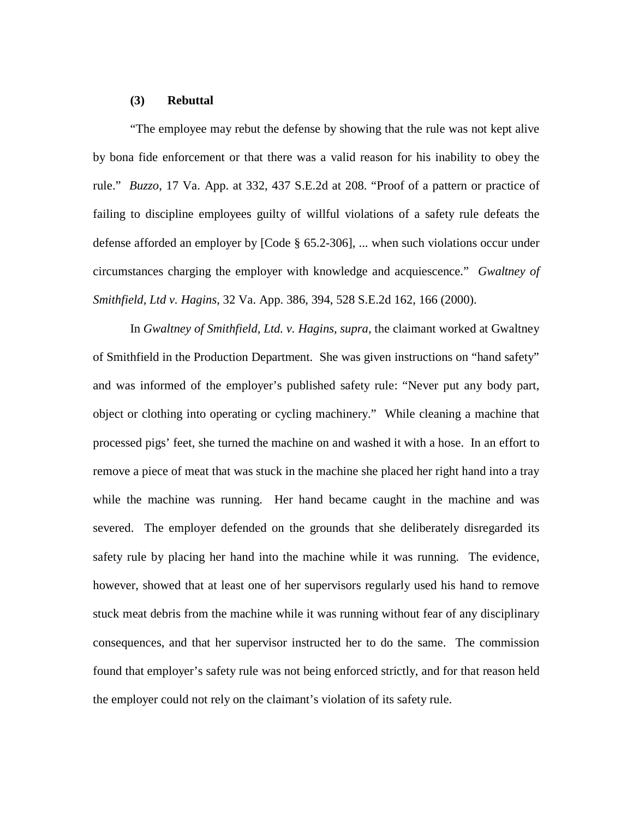## **(3) Rebuttal**

"The employee may rebut the defense by showing that the rule was not kept alive by bona fide enforcement or that there was a valid reason for his inability to obey the rule." *Buzzo*, 17 Va. App. at 332, 437 S.E.2d at 208. "Proof of a pattern or practice of failing to discipline employees guilty of willful violations of a safety rule defeats the defense afforded an employer by [Code § 65.2-306], ... when such violations occur under circumstances charging the employer with knowledge and acquiescence." *Gwaltney of Smithfield, Ltd v. Hagins*, 32 Va. App. 386, 394, 528 S.E.2d 162, 166 (2000).

In *Gwaltney of Smithfield, Ltd. v. Hagins*, *supra*, the claimant worked at Gwaltney of Smithfield in the Production Department. She was given instructions on "hand safety" and was informed of the employer's published safety rule: "Never put any body part, object or clothing into operating or cycling machinery." While cleaning a machine that processed pigs' feet, she turned the machine on and washed it with a hose. In an effort to remove a piece of meat that was stuck in the machine she placed her right hand into a tray while the machine was running. Her hand became caught in the machine and was severed. The employer defended on the grounds that she deliberately disregarded its safety rule by placing her hand into the machine while it was running. The evidence, however, showed that at least one of her supervisors regularly used his hand to remove stuck meat debris from the machine while it was running without fear of any disciplinary consequences, and that her supervisor instructed her to do the same. The commission found that employer's safety rule was not being enforced strictly, and for that reason held the employer could not rely on the claimant's violation of its safety rule.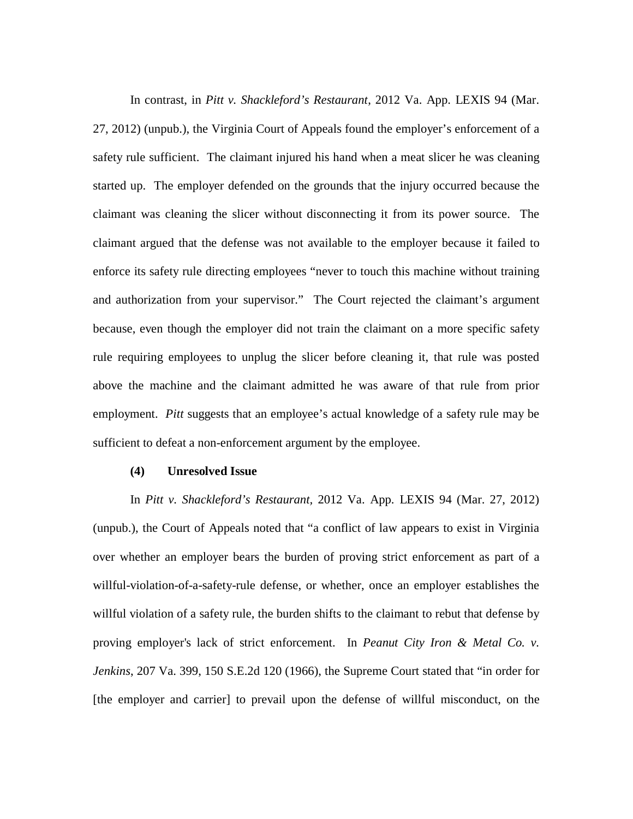In contrast, in *Pitt v. Shackleford's Restaurant*, 2012 Va. App. LEXIS 94 (Mar. 27, 2012) (unpub.), the Virginia Court of Appeals found the employer's enforcement of a safety rule sufficient. The claimant injured his hand when a meat slicer he was cleaning started up. The employer defended on the grounds that the injury occurred because the claimant was cleaning the slicer without disconnecting it from its power source. The claimant argued that the defense was not available to the employer because it failed to enforce its safety rule directing employees "never to touch this machine without training and authorization from your supervisor." The Court rejected the claimant's argument because, even though the employer did not train the claimant on a more specific safety rule requiring employees to unplug the slicer before cleaning it, that rule was posted above the machine and the claimant admitted he was aware of that rule from prior employment. *Pitt* suggests that an employee's actual knowledge of a safety rule may be sufficient to defeat a non-enforcement argument by the employee.

## **(4) Unresolved Issue**

In *Pitt v. Shackleford's Restaurant,* 2012 Va. App. LEXIS 94 (Mar. 27, 2012) (unpub.), the Court of Appeals noted that "a conflict of law appears to exist in Virginia over whether an employer bears the burden of proving strict enforcement as part of a willful-violation-of-a-safety-rule defense, or whether, once an employer establishes the willful violation of a safety rule, the burden shifts to the claimant to rebut that defense by proving employer's lack of strict enforcement. In *Peanut City Iron & Metal Co. v. Jenkins*, 207 Va. 399, 150 S.E.2d 120 (1966), the Supreme Court stated that "in order for [the employer and carrier] to prevail upon the defense of willful misconduct, on the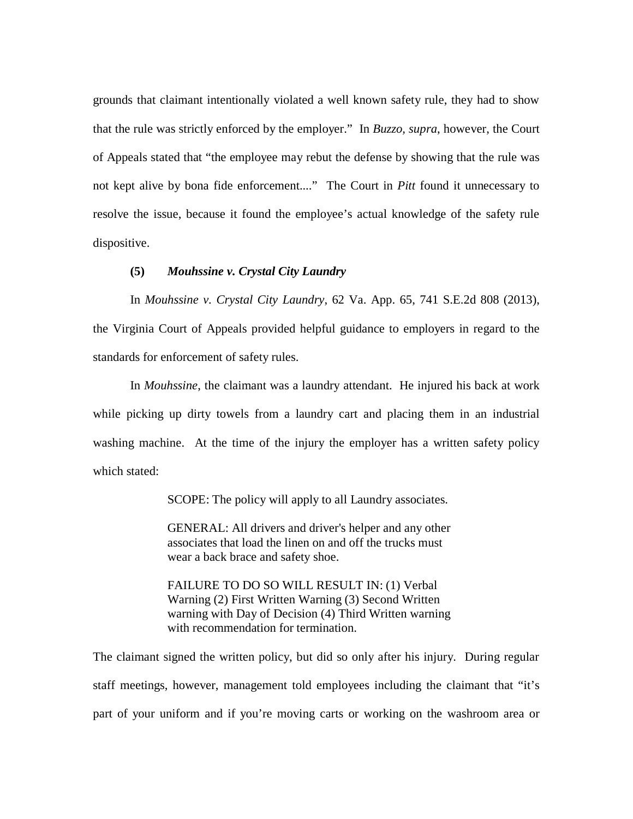grounds that claimant intentionally violated a well known safety rule, they had to show that the rule was strictly enforced by the employer." In *Buzzo, supra*, however, the Court of Appeals stated that "the employee may rebut the defense by showing that the rule was not kept alive by bona fide enforcement...." The Court in *Pitt* found it unnecessary to resolve the issue, because it found the employee's actual knowledge of the safety rule dispositive.

## **(5)** *Mouhssine v. Crystal City Laundry*

In *Mouhssine v. Crystal City Laundry*, 62 Va. App. 65, 741 S.E.2d 808 (2013), the Virginia Court of Appeals provided helpful guidance to employers in regard to the standards for enforcement of safety rules.

In *Mouhssine*, the claimant was a laundry attendant. He injured his back at work while picking up dirty towels from a laundry cart and placing them in an industrial washing machine. At the time of the injury the employer has a written safety policy which stated:

SCOPE: The policy will apply to all Laundry associates.

GENERAL: All drivers and driver's helper and any other associates that load the linen on and off the trucks must wear a back brace and safety shoe.

FAILURE TO DO SO WILL RESULT IN: (1) Verbal Warning (2) First Written Warning (3) Second Written warning with Day of Decision (4) Third Written warning with recommendation for termination.

The claimant signed the written policy, but did so only after his injury. During regular staff meetings, however, management told employees including the claimant that "it's part of your uniform and if you're moving carts or working on the washroom area or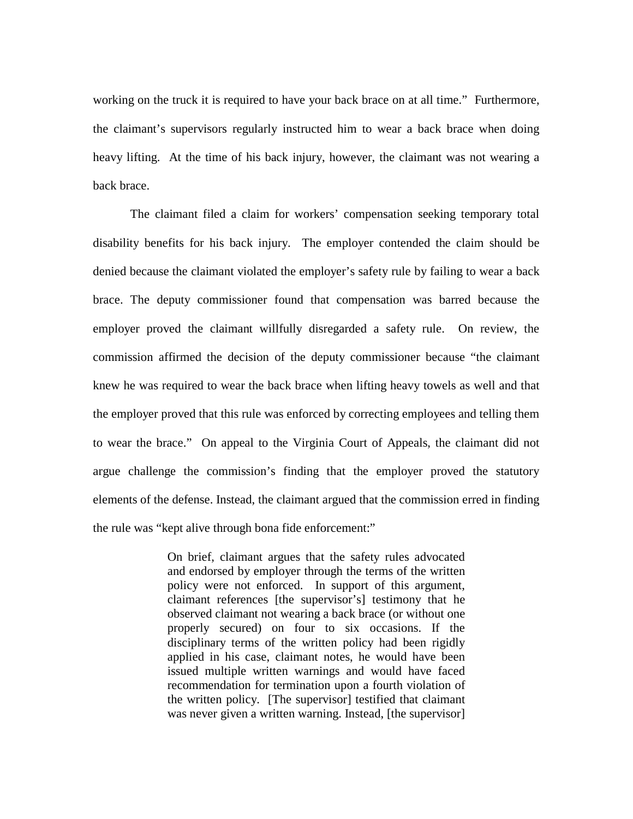working on the truck it is required to have your back brace on at all time." Furthermore, the claimant's supervisors regularly instructed him to wear a back brace when doing heavy lifting. At the time of his back injury, however, the claimant was not wearing a back brace.

The claimant filed a claim for workers' compensation seeking temporary total disability benefits for his back injury. The employer contended the claim should be denied because the claimant violated the employer's safety rule by failing to wear a back brace. The deputy commissioner found that compensation was barred because the employer proved the claimant willfully disregarded a safety rule. On review, the commission affirmed the decision of the deputy commissioner because "the claimant knew he was required to wear the back brace when lifting heavy towels as well and that the employer proved that this rule was enforced by correcting employees and telling them to wear the brace." On appeal to the Virginia Court of Appeals, the claimant did not argue challenge the commission's finding that the employer proved the statutory elements of the defense. Instead, the claimant argued that the commission erred in finding the rule was "kept alive through bona fide enforcement:"

> On brief, claimant argues that the safety rules advocated and endorsed by employer through the terms of the written policy were not enforced. In support of this argument, claimant references [the supervisor's] testimony that he observed claimant not wearing a back brace (or without one properly secured) on four to six occasions. If the disciplinary terms of the written policy had been rigidly applied in his case, claimant notes, he would have been issued multiple written warnings and would have faced recommendation for termination upon a fourth violation of the written policy. [The supervisor] testified that claimant was never given a written warning. Instead, [the supervisor]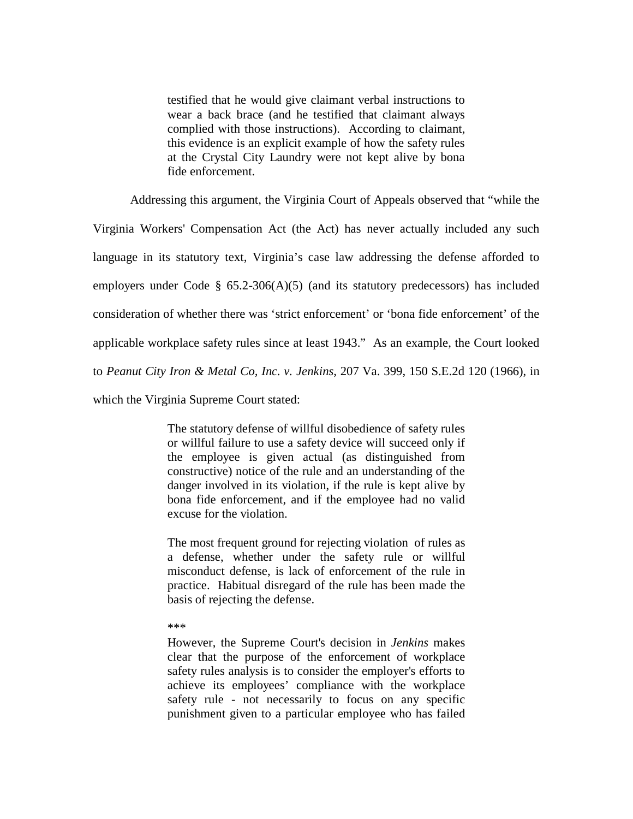testified that he would give claimant verbal instructions to wear a back brace (and he testified that claimant always complied with those instructions). According to claimant, this evidence is an explicit example of how the safety rules at the Crystal City Laundry were not kept alive by bona fide enforcement.

Addressing this argument, the Virginia Court of Appeals observed that "while the

Virginia Workers' Compensation Act (the Act) has never actually included any such language in its statutory text, Virginia's case law addressing the defense afforded to employers under Code  $\S$  65.2-306(A)(5) (and its statutory predecessors) has included consideration of whether there was 'strict enforcement' or 'bona fide enforcement' of the applicable workplace safety rules since at least 1943." As an example, the Court looked to *Peanut City Iron & Metal Co, Inc. v. Jenkins*, 207 Va. 399, 150 S.E.2d 120 (1966), in which the Virginia Supreme Court stated:

> The statutory defense of willful disobedience of safety rules or willful failure to use a safety device will succeed only if the employee is given actual (as distinguished from constructive) notice of the rule and an understanding of the danger involved in its violation, if the rule is kept alive by bona fide enforcement, and if the employee had no valid excuse for the violation.

> The most frequent ground for rejecting violation of rules as a defense, whether under the safety rule or willful misconduct defense, is lack of enforcement of the rule in practice. Habitual disregard of the rule has been made the basis of rejecting the defense.

#### \*\*\*

However, the Supreme Court's decision in *Jenkins* makes clear that the purpose of the enforcement of workplace safety rules analysis is to consider the employer's efforts to achieve its employees' compliance with the workplace safety rule - not necessarily to focus on any specific punishment given to a particular employee who has failed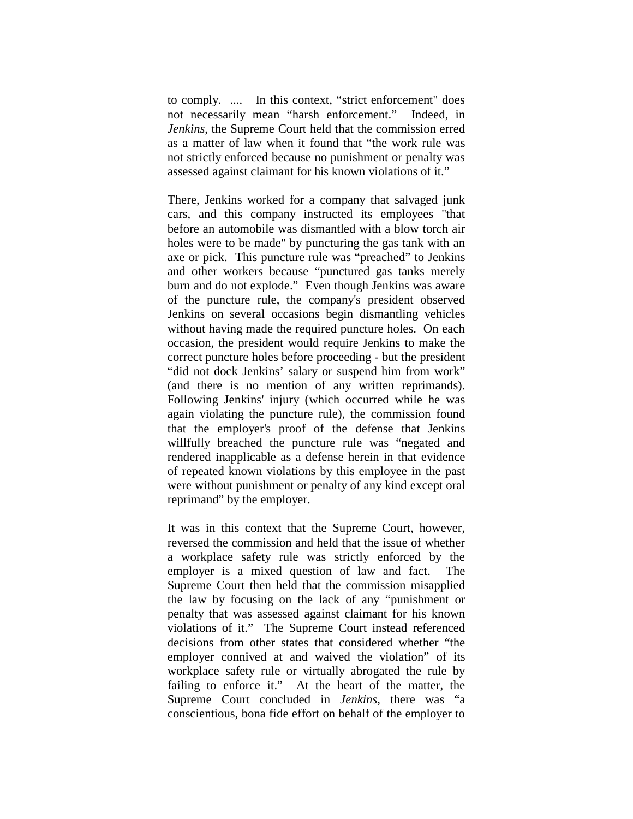to comply. .... In this context, "strict enforcement" does not necessarily mean "harsh enforcement." Indeed, in *Jenkins*, the Supreme Court held that the commission erred as a matter of law when it found that "the work rule was not strictly enforced because no punishment or penalty was assessed against claimant for his known violations of it."

There, Jenkins worked for a company that salvaged junk cars, and this company instructed its employees "that before an automobile was dismantled with a blow torch air holes were to be made" by puncturing the gas tank with an axe or pick. This puncture rule was "preached" to Jenkins and other workers because "punctured gas tanks merely burn and do not explode." Even though Jenkins was aware of the puncture rule, the company's president observed Jenkins on several occasions begin dismantling vehicles without having made the required puncture holes. On each occasion, the president would require Jenkins to make the correct puncture holes before proceeding - but the president "did not dock Jenkins' salary or suspend him from work" (and there is no mention of any written reprimands). Following Jenkins' injury (which occurred while he was again violating the puncture rule), the commission found that the employer's proof of the defense that Jenkins willfully breached the puncture rule was "negated and rendered inapplicable as a defense herein in that evidence of repeated known violations by this employee in the past were without punishment or penalty of any kind except oral reprimand" by the employer.

It was in this context that the Supreme Court, however, reversed the commission and held that the issue of whether a workplace safety rule was strictly enforced by the employer is a mixed question of law and fact. The Supreme Court then held that the commission misapplied the law by focusing on the lack of any "punishment or penalty that was assessed against claimant for his known violations of it." The Supreme Court instead referenced decisions from other states that considered whether "the employer connived at and waived the violation" of its workplace safety rule or virtually abrogated the rule by failing to enforce it." At the heart of the matter, the Supreme Court concluded in *Jenkins*, there was "a conscientious, bona fide effort on behalf of the employer to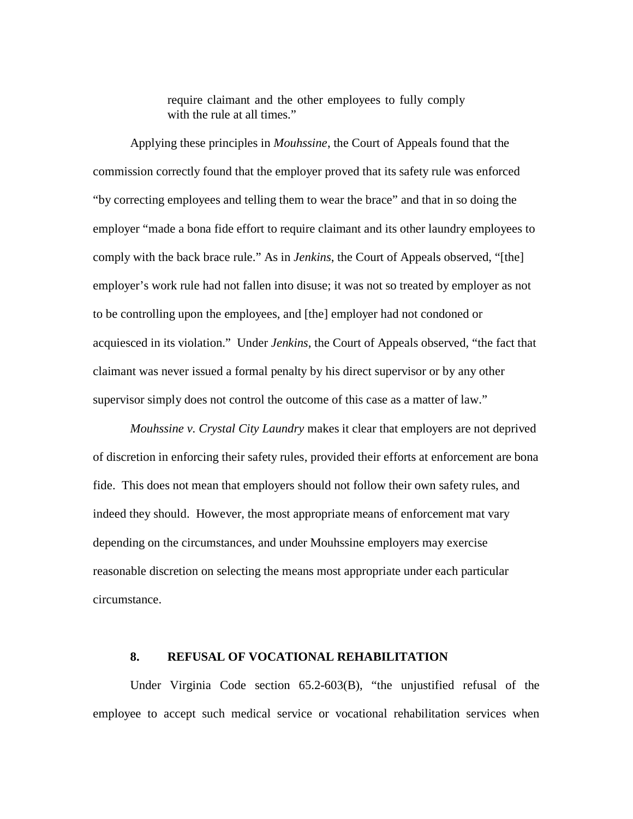require claimant and the other employees to fully comply with the rule at all times."

Applying these principles in *Mouhssine*, the Court of Appeals found that the commission correctly found that the employer proved that its safety rule was enforced "by correcting employees and telling them to wear the brace" and that in so doing the employer "made a bona fide effort to require claimant and its other laundry employees to comply with the back brace rule." As in *Jenkins*, the Court of Appeals observed, "[the] employer's work rule had not fallen into disuse; it was not so treated by employer as not to be controlling upon the employees, and [the] employer had not condoned or acquiesced in its violation." Under *Jenkins*, the Court of Appeals observed, "the fact that claimant was never issued a formal penalty by his direct supervisor or by any other supervisor simply does not control the outcome of this case as a matter of law."

*Mouhssine v. Crystal City Laundry* makes it clear that employers are not deprived of discretion in enforcing their safety rules, provided their efforts at enforcement are bona fide. This does not mean that employers should not follow their own safety rules, and indeed they should. However, the most appropriate means of enforcement mat vary depending on the circumstances, and under Mouhssine employers may exercise reasonable discretion on selecting the means most appropriate under each particular circumstance.

# **8. REFUSAL OF VOCATIONAL REHABILITATION**

Under Virginia Code section 65.2-603(B), "the unjustified refusal of the employee to accept such medical service or vocational rehabilitation services when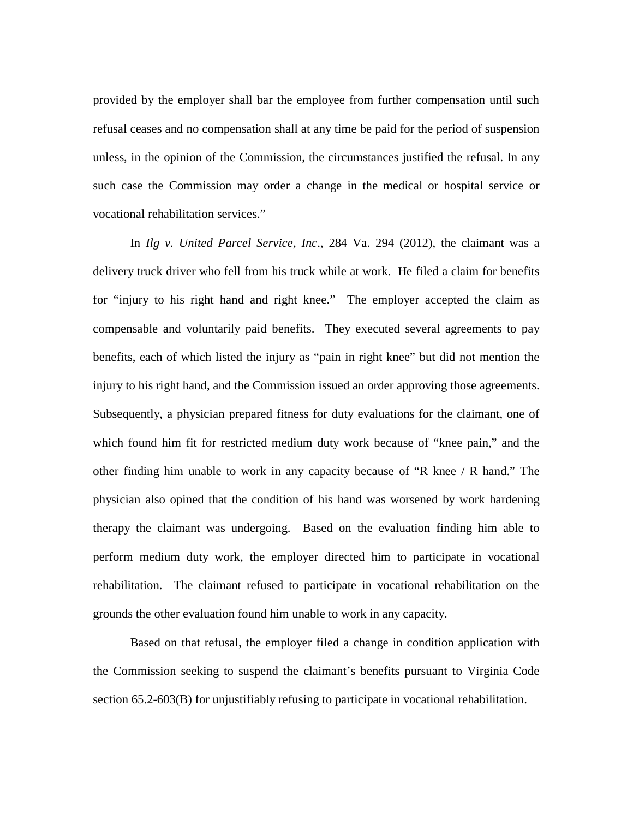provided by the employer shall bar the employee from further compensation until such refusal ceases and no compensation shall at any time be paid for the period of suspension unless, in the opinion of the Commission, the circumstances justified the refusal. In any such case the Commission may order a change in the medical or hospital service or vocational rehabilitation services."

In *Ilg v. United Parcel Service, Inc*., 284 Va. 294 (2012), the claimant was a delivery truck driver who fell from his truck while at work. He filed a claim for benefits for "injury to his right hand and right knee." The employer accepted the claim as compensable and voluntarily paid benefits. They executed several agreements to pay benefits, each of which listed the injury as "pain in right knee" but did not mention the injury to his right hand, and the Commission issued an order approving those agreements. Subsequently, a physician prepared fitness for duty evaluations for the claimant, one of which found him fit for restricted medium duty work because of "knee pain," and the other finding him unable to work in any capacity because of "R knee / R hand." The physician also opined that the condition of his hand was worsened by work hardening therapy the claimant was undergoing. Based on the evaluation finding him able to perform medium duty work, the employer directed him to participate in vocational rehabilitation. The claimant refused to participate in vocational rehabilitation on the grounds the other evaluation found him unable to work in any capacity.

Based on that refusal, the employer filed a change in condition application with the Commission seeking to suspend the claimant's benefits pursuant to Virginia Code section 65.2-603(B) for unjustifiably refusing to participate in vocational rehabilitation.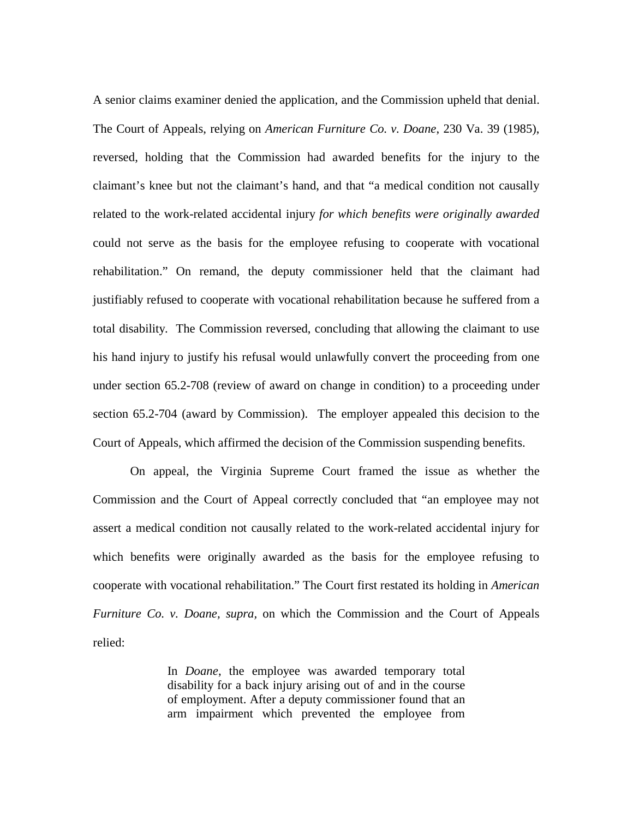A senior claims examiner denied the application, and the Commission upheld that denial. The Court of Appeals, relying on *American Furniture Co. v. Doane*, 230 Va. 39 (1985), reversed, holding that the Commission had awarded benefits for the injury to the claimant's knee but not the claimant's hand, and that "a medical condition not causally related to the work-related accidental injury *for which benefits were originally awarded* could not serve as the basis for the employee refusing to cooperate with vocational rehabilitation." On remand, the deputy commissioner held that the claimant had justifiably refused to cooperate with vocational rehabilitation because he suffered from a total disability. The Commission reversed, concluding that allowing the claimant to use his hand injury to justify his refusal would unlawfully convert the proceeding from one under section 65.2-708 (review of award on change in condition) to a proceeding under section 65.2-704 (award by Commission). The employer appealed this decision to the Court of Appeals, which affirmed the decision of the Commission suspending benefits.

On appeal, the Virginia Supreme Court framed the issue as whether the Commission and the Court of Appeal correctly concluded that "an employee may not assert a medical condition not causally related to the work-related accidental injury for which benefits were originally awarded as the basis for the employee refusing to cooperate with vocational rehabilitation." The Court first restated its holding in *American Furniture Co. v. Doane, supra,* on which the Commission and the Court of Appeals relied:

> In *Doane*, the employee was awarded temporary total disability for a back injury arising out of and in the course of employment. After a deputy commissioner found that an arm impairment which prevented the employee from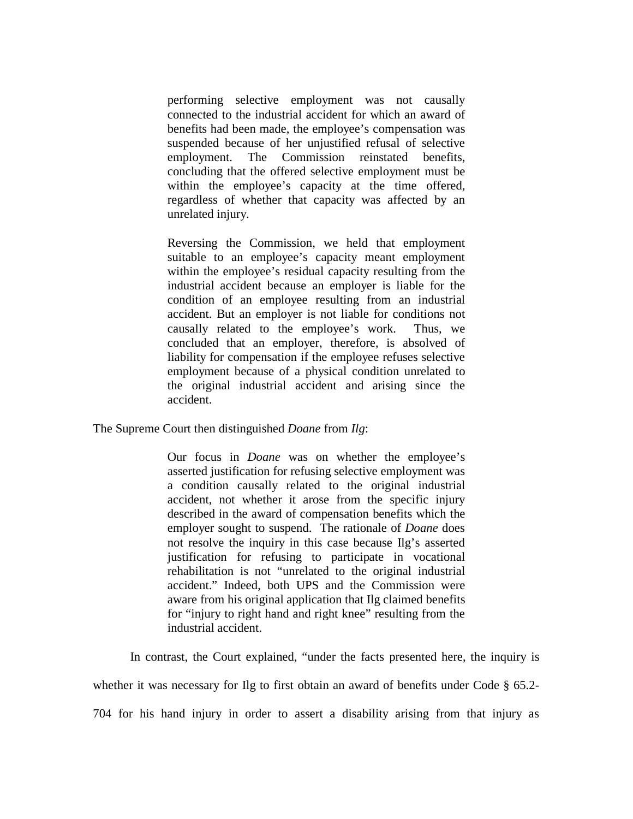performing selective employment was not causally connected to the industrial accident for which an award of benefits had been made, the employee's compensation was suspended because of her unjustified refusal of selective employment. The Commission reinstated benefits, concluding that the offered selective employment must be within the employee's capacity at the time offered, regardless of whether that capacity was affected by an unrelated injury.

Reversing the Commission, we held that employment suitable to an employee's capacity meant employment within the employee's residual capacity resulting from the industrial accident because an employer is liable for the condition of an employee resulting from an industrial accident. But an employer is not liable for conditions not causally related to the employee's work. Thus, we concluded that an employer, therefore, is absolved of liability for compensation if the employee refuses selective employment because of a physical condition unrelated to the original industrial accident and arising since the accident.

The Supreme Court then distinguished *Doane* from *Ilg*:

Our focus in *Doane* was on whether the employee's asserted justification for refusing selective employment was a condition causally related to the original industrial accident, not whether it arose from the specific injury described in the award of compensation benefits which the employer sought to suspend. The rationale of *Doane* does not resolve the inquiry in this case because Ilg's asserted justification for refusing to participate in vocational rehabilitation is not "unrelated to the original industrial accident." Indeed, both UPS and the Commission were aware from his original application that Ilg claimed benefits for "injury to right hand and right knee" resulting from the industrial accident.

In contrast, the Court explained, "under the facts presented here, the inquiry is whether it was necessary for Ilg to first obtain an award of benefits under Code § 65.2-704 for his hand injury in order to assert a disability arising from that injury as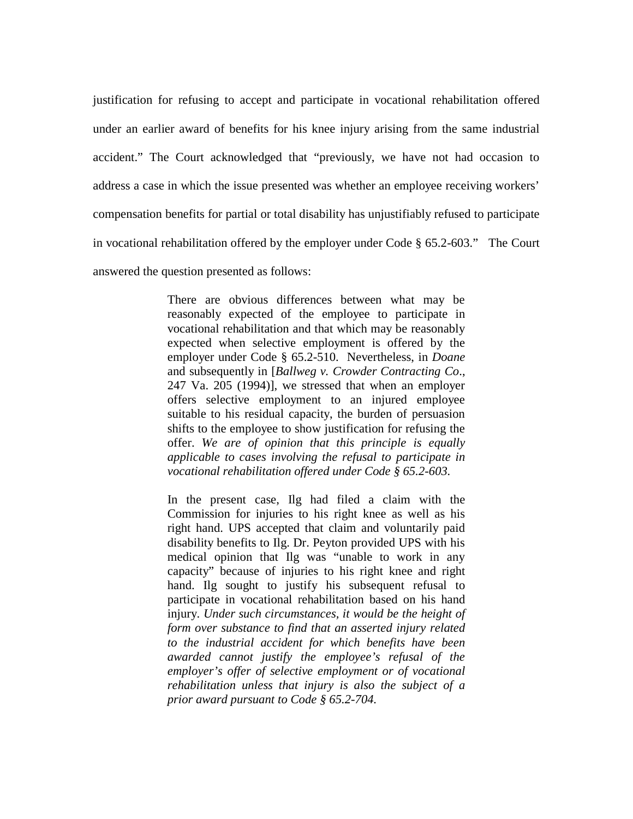justification for refusing to accept and participate in vocational rehabilitation offered under an earlier award of benefits for his knee injury arising from the same industrial accident." The Court acknowledged that "previously, we have not had occasion to address a case in which the issue presented was whether an employee receiving workers' compensation benefits for partial or total disability has unjustifiably refused to participate in vocational rehabilitation offered by the employer under Code § 65.2-603." The Court answered the question presented as follows:

> There are obvious differences between what may be reasonably expected of the employee to participate in vocational rehabilitation and that which may be reasonably expected when selective employment is offered by the employer under Code § 65.2-510. Nevertheless, in *Doane* and subsequently in [*Ballweg v. Crowder Contracting Co*., 247 Va. 205 (1994)], we stressed that when an employer offers selective employment to an injured employee suitable to his residual capacity, the burden of persuasion shifts to the employee to show justification for refusing the offer. *We are of opinion that this principle is equally applicable to cases involving the refusal to participate in vocational rehabilitation offered under Code § 65.2-603.*

> In the present case, Ilg had filed a claim with the Commission for injuries to his right knee as well as his right hand. UPS accepted that claim and voluntarily paid disability benefits to Ilg. Dr. Peyton provided UPS with his medical opinion that Ilg was "unable to work in any capacity" because of injuries to his right knee and right hand. Ilg sought to justify his subsequent refusal to participate in vocational rehabilitation based on his hand injury. *Under such circumstances, it would be the height of form over substance to find that an asserted injury related to the industrial accident for which benefits have been awarded cannot justify the employee's refusal of the employer's offer of selective employment or of vocational rehabilitation unless that injury is also the subject of a prior award pursuant to Code § 65.2-704.*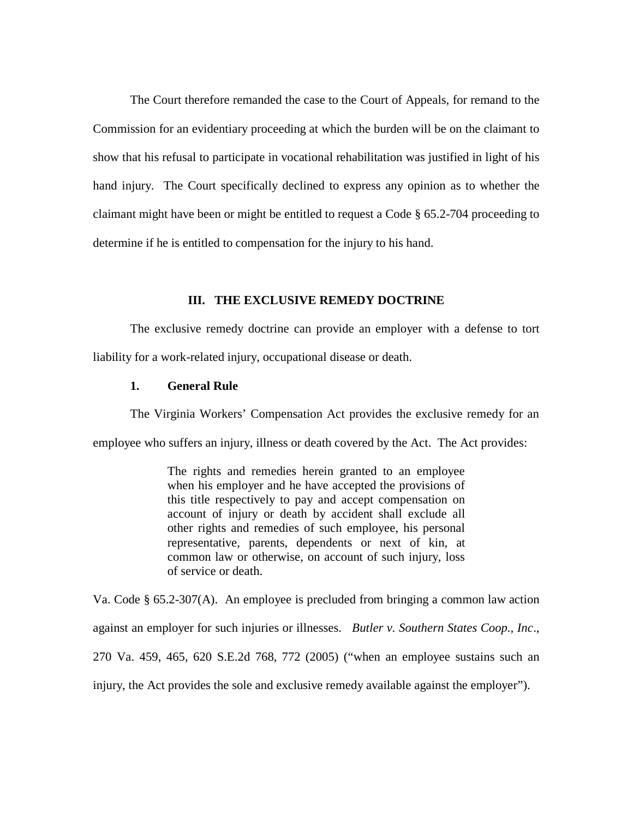The Court therefore remanded the case to the Court of Appeals, for remand to the Commission for an evidentiary proceeding at which the burden will be on the claimant to show that his refusal to participate in vocational rehabilitation was justified in light of his hand injury. The Court specifically declined to express any opinion as to whether the claimant might have been or might be entitled to request a Code § 65.2-704 proceeding to determine if he is entitled to compensation for the injury to his hand.

## **III. THE EXCLUSIVE REMEDY DOCTRINE**

The exclusive remedy doctrine can provide an employer with a defense to tort liability for a work-related injury, occupational disease or death.

## **1. General Rule**

The Virginia Workers' Compensation Act provides the exclusive remedy for an

employee who suffers an injury, illness or death covered by the Act. The Act provides:

The rights and remedies herein granted to an employee when his employer and he have accepted the provisions of this title respectively to pay and accept compensation on account of injury or death by accident shall exclude all other rights and remedies of such employee, his personal representative, parents, dependents or next of kin, at common law or otherwise, on account of such injury, loss of service or death.

Va. Code § 65.2-307(A). An employee is precluded from bringing a common law action against an employer for such injuries or illnesses. *Butler v. Southern States Coop., Inc*., 270 Va. 459, 465, 620 S.E.2d 768, 772 (2005) ("when an employee sustains such an injury, the Act provides the sole and exclusive remedy available against the employer").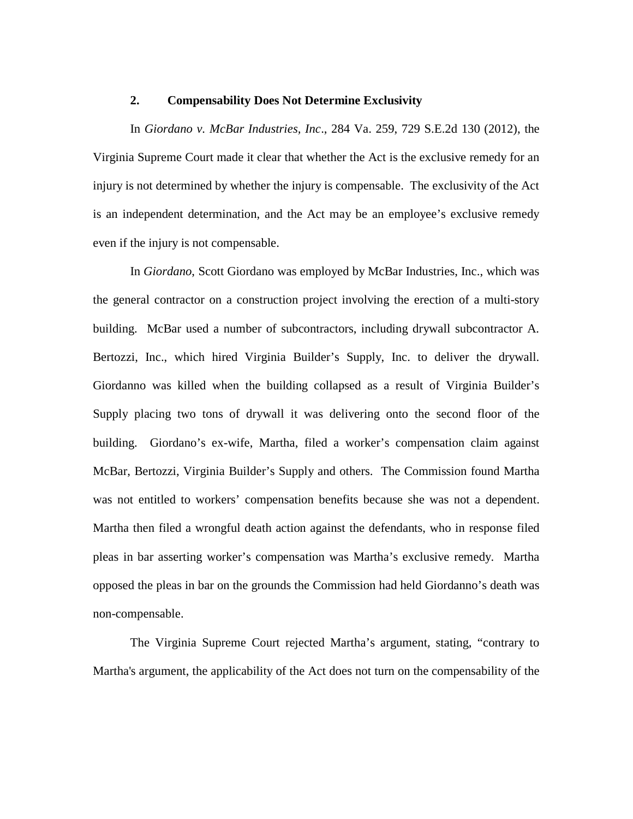#### **2. Compensability Does Not Determine Exclusivity**

In *Giordano v. McBar Industries, Inc*., 284 Va. 259, 729 S.E.2d 130 (2012), the Virginia Supreme Court made it clear that whether the Act is the exclusive remedy for an injury is not determined by whether the injury is compensable. The exclusivity of the Act is an independent determination, and the Act may be an employee's exclusive remedy even if the injury is not compensable.

In *Giordano*, Scott Giordano was employed by McBar Industries, Inc., which was the general contractor on a construction project involving the erection of a multi-story building. McBar used a number of subcontractors, including drywall subcontractor A. Bertozzi, Inc., which hired Virginia Builder's Supply, Inc. to deliver the drywall. Giordanno was killed when the building collapsed as a result of Virginia Builder's Supply placing two tons of drywall it was delivering onto the second floor of the building. Giordano's ex-wife, Martha, filed a worker's compensation claim against McBar, Bertozzi, Virginia Builder's Supply and others. The Commission found Martha was not entitled to workers' compensation benefits because she was not a dependent. Martha then filed a wrongful death action against the defendants, who in response filed pleas in bar asserting worker's compensation was Martha's exclusive remedy. Martha opposed the pleas in bar on the grounds the Commission had held Giordanno's death was non-compensable.

The Virginia Supreme Court rejected Martha's argument, stating, "contrary to Martha's argument, the applicability of the Act does not turn on the compensability of the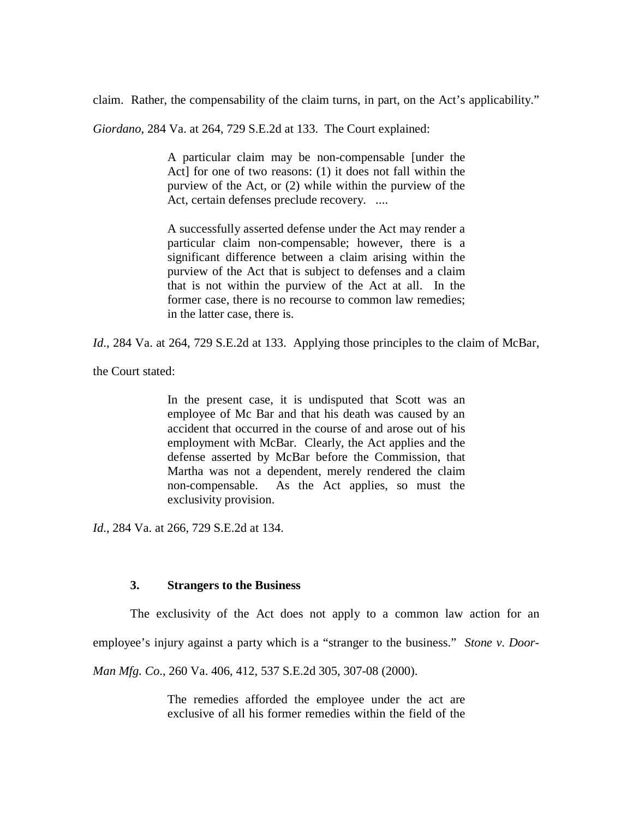claim. Rather, the compensability of the claim turns, in part, on the Act's applicability."

*Giordano*, 284 Va. at 264, 729 S.E.2d at 133. The Court explained:

A particular claim may be non-compensable [under the Act] for one of two reasons: (1) it does not fall within the purview of the Act, or (2) while within the purview of the Act, certain defenses preclude recovery. ....

A successfully asserted defense under the Act may render a particular claim non-compensable; however, there is a significant difference between a claim arising within the purview of the Act that is subject to defenses and a claim that is not within the purview of the Act at all. In the former case, there is no recourse to common law remedies; in the latter case, there is.

*Id*., 284 Va. at 264, 729 S.E.2d at 133. Applying those principles to the claim of McBar,

the Court stated:

In the present case, it is undisputed that Scott was an employee of Mc Bar and that his death was caused by an accident that occurred in the course of and arose out of his employment with McBar. Clearly, the Act applies and the defense asserted by McBar before the Commission, that Martha was not a dependent, merely rendered the claim non-compensable. As the Act applies, so must the exclusivity provision.

*Id*., 284 Va. at 266, 729 S.E.2d at 134.

# **3. Strangers to the Business**

The exclusivity of the Act does not apply to a common law action for an

employee's injury against a party which is a "stranger to the business." *Stone v. Door-*

*Man Mfg. Co*., 260 Va. 406, 412, 537 S.E.2d 305, 307-08 (2000).

The remedies afforded the employee under the act are exclusive of all his former remedies within the field of the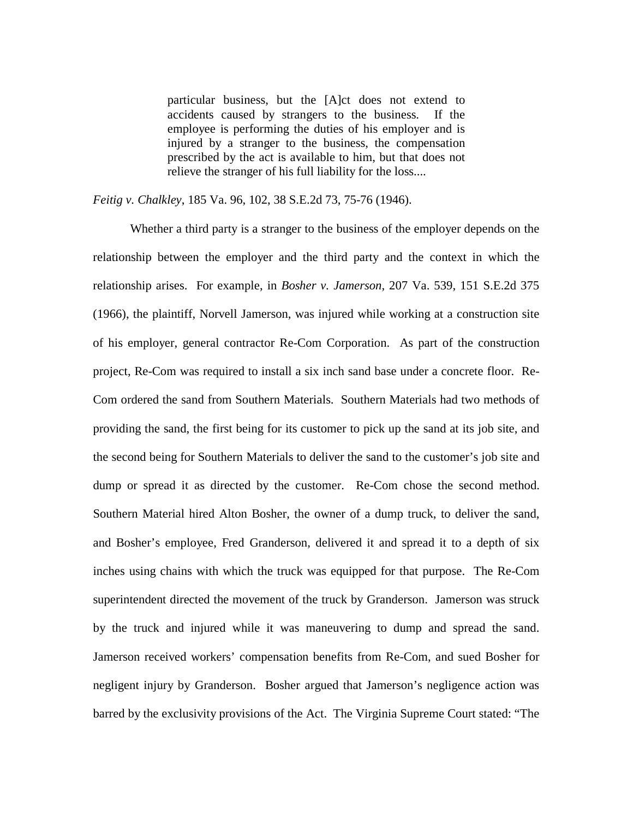particular business, but the [A]ct does not extend to accidents caused by strangers to the business. If the employee is performing the duties of his employer and is injured by a stranger to the business, the compensation prescribed by the act is available to him, but that does not relieve the stranger of his full liability for the loss....

*Feitig v. Chalkley*, 185 Va. 96, 102, 38 S.E.2d 73, 75-76 (1946).

Whether a third party is a stranger to the business of the employer depends on the relationship between the employer and the third party and the context in which the relationship arises. For example, in *Bosher v. Jamerson*, 207 Va. 539, 151 S.E.2d 375 (1966), the plaintiff, Norvell Jamerson, was injured while working at a construction site of his employer, general contractor Re-Com Corporation. As part of the construction project, Re-Com was required to install a six inch sand base under a concrete floor. Re-Com ordered the sand from Southern Materials. Southern Materials had two methods of providing the sand, the first being for its customer to pick up the sand at its job site, and the second being for Southern Materials to deliver the sand to the customer's job site and dump or spread it as directed by the customer. Re-Com chose the second method. Southern Material hired Alton Bosher, the owner of a dump truck, to deliver the sand, and Bosher's employee, Fred Granderson, delivered it and spread it to a depth of six inches using chains with which the truck was equipped for that purpose. The Re-Com superintendent directed the movement of the truck by Granderson. Jamerson was struck by the truck and injured while it was maneuvering to dump and spread the sand. Jamerson received workers' compensation benefits from Re-Com, and sued Bosher for negligent injury by Granderson. Bosher argued that Jamerson's negligence action was barred by the exclusivity provisions of the Act. The Virginia Supreme Court stated: "The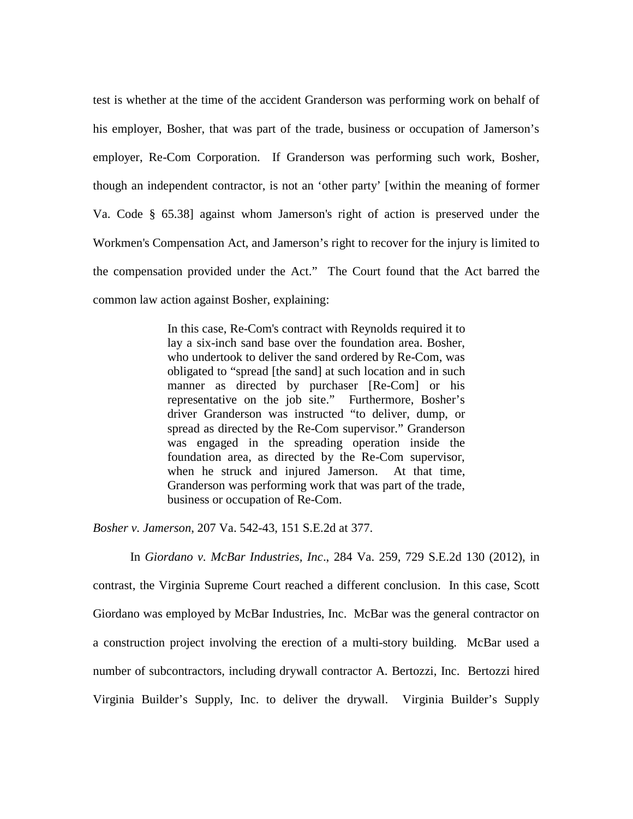test is whether at the time of the accident Granderson was performing work on behalf of his employer, Bosher, that was part of the trade, business or occupation of Jamerson's employer, Re-Com Corporation. If Granderson was performing such work, Bosher, though an independent contractor, is not an 'other party' [within the meaning of former Va. Code § 65.38] against whom Jamerson's right of action is preserved under the Workmen's Compensation Act, and Jamerson's right to recover for the injury is limited to the compensation provided under the Act." The Court found that the Act barred the common law action against Bosher, explaining:

> In this case, Re-Com's contract with Reynolds required it to lay a six-inch sand base over the foundation area. Bosher, who undertook to deliver the sand ordered by Re-Com, was obligated to "spread [the sand] at such location and in such manner as directed by purchaser [Re-Com] or his representative on the job site." Furthermore, Bosher's driver Granderson was instructed "to deliver, dump, or spread as directed by the Re-Com supervisor." Granderson was engaged in the spreading operation inside the foundation area, as directed by the Re-Com supervisor, when he struck and injured Jamerson. At that time, Granderson was performing work that was part of the trade, business or occupation of Re-Com.

*Bosher v. Jamerson*, 207 Va. 542-43, 151 S.E.2d at 377.

In *Giordano v. McBar Industries, Inc*., 284 Va. 259, 729 S.E.2d 130 (2012), in contrast, the Virginia Supreme Court reached a different conclusion. In this case, Scott Giordano was employed by McBar Industries, Inc. McBar was the general contractor on a construction project involving the erection of a multi-story building. McBar used a number of subcontractors, including drywall contractor A. Bertozzi, Inc. Bertozzi hired Virginia Builder's Supply, Inc. to deliver the drywall. Virginia Builder's Supply